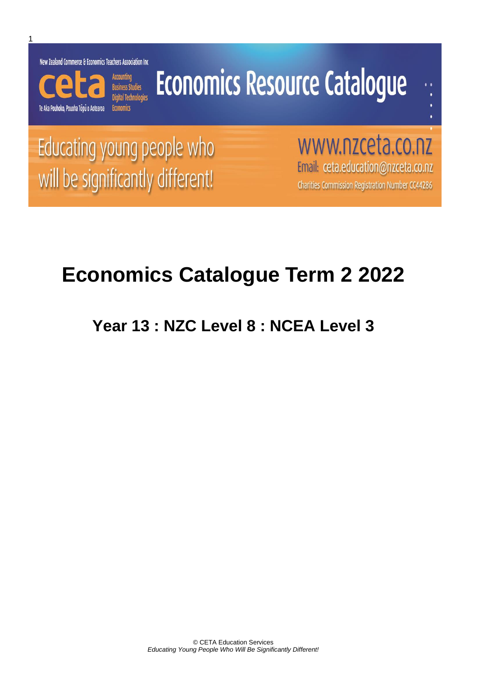New Zealand Commerce & Economics Teachers Association Inc



# **Economics Resource Catalogue**

Educating young people who will be significantly different!

www.nzceta.co.nz Email: ceta.education@nzceta.co.nz Charities Commission Registration Number CC44286

## **Economics Catalogue Term 2 2022**

**Year 13 : NZC Level 8 : NCEA Level 3**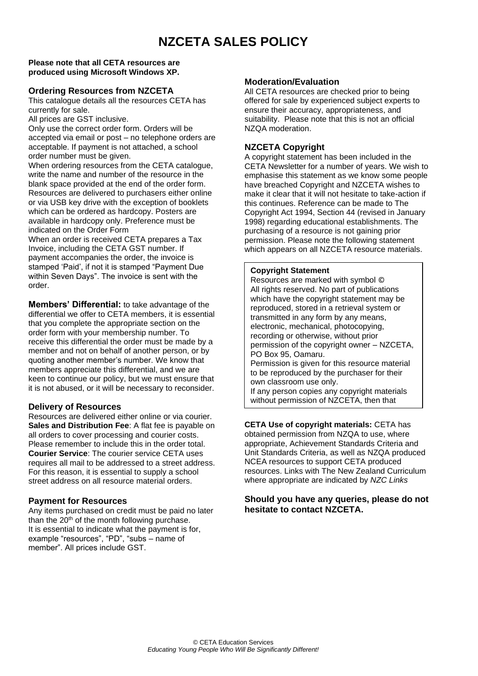## **NZCETA SALES POLICY**

#### **Please note that all CETA resources are produced using Microsoft Windows XP.**

#### **Ordering Resources from NZCETA**

This catalogue details all the resources CETA has currently for sale.

All prices are GST inclusive.

Only use the correct order form. Orders will be accepted via email or post – no telephone orders are acceptable. If payment is not attached, a school order number must be given.

When ordering resources from the CETA catalogue, write the name and number of the resource in the blank space provided at the end of the order form. Resources are delivered to purchasers either online or via USB key drive with the exception of booklets which can be ordered as hardcopy. Posters are available in hardcopy only. Preference must be indicated on the Order Form

When an order is received CETA prepares a Tax Invoice, including the CETA GST number. If payment accompanies the order, the invoice is stamped 'Paid', if not it is stamped "Payment Due within Seven Days". The invoice is sent with the order.

**Members' Differential:** to take advantage of the differential we offer to CETA members, it is essential that you complete the appropriate section on the order form with your membership number. To receive this differential the order must be made by a member and not on behalf of another person, or by quoting another member's number. We know that members appreciate this differential, and we are keen to continue our policy, but we must ensure that it is not abused, or it will be necessary to reconsider.

#### **Delivery of Resources**

Resources are delivered either online or via courier. **Sales and Distribution Fee**: A flat fee is payable on all orders to cover processing and courier costs. Please remember to include this in the order total. **Courier Service**: The courier service CETA uses requires all mail to be addressed to a street address. For this reason, it is essential to supply a school street address on all resource material orders.

#### **Payment for Resources**

Any items purchased on credit must be paid no later than the  $20<sup>th</sup>$  of the month following purchase. It is essential to indicate what the payment is for, example "resources", "PD", "subs – name of member". All prices include GST.

#### **Moderation/Evaluation**

All CETA resources are checked prior to being offered for sale by experienced subject experts to ensure their accuracy, appropriateness, and suitability. Please note that this is not an official NZQA moderation.

#### **NZCETA Copyright**

A copyright statement has been included in the CETA Newsletter for a number of years. We wish to emphasise this statement as we know some people have breached Copyright and NZCETA wishes to make it clear that it will not hesitate to take-action if this continues. Reference can be made to The Copyright Act 1994, Section 44 (revised in January 1998) regarding educational establishments. The purchasing of a resource is not gaining prior permission. Please note the following statement which appears on all NZCETA resource materials.

#### **Copyright Statement**

Resources are marked with symbol © All rights reserved. No part of publications which have the copyright statement may be reproduced, stored in a retrieval system or transmitted in any form by any means, electronic, mechanical, photocopying, recording or otherwise, without prior permission of the copyright owner – NZCETA, PO Box 95, Oamaru. Permission is given for this resource material to be reproduced by the purchaser for their own classroom use only. If any person copies any copyright materials without permission of NZCETA, then that

**CETA Use of copyright materials: CETA has** obtained permission from NZQA to use, where appropriate, Achievement Standards Criteria and Unit Standards Criteria, as well as NZQA produced NCEA resources to support CETA produced resources. Links with The New Zealand Curriculum where appropriate are indicated by *NZC Links*

person has infringed copyright, has broken the

#### **Should you have any queries, please do not hesitate to contact NZCETA.**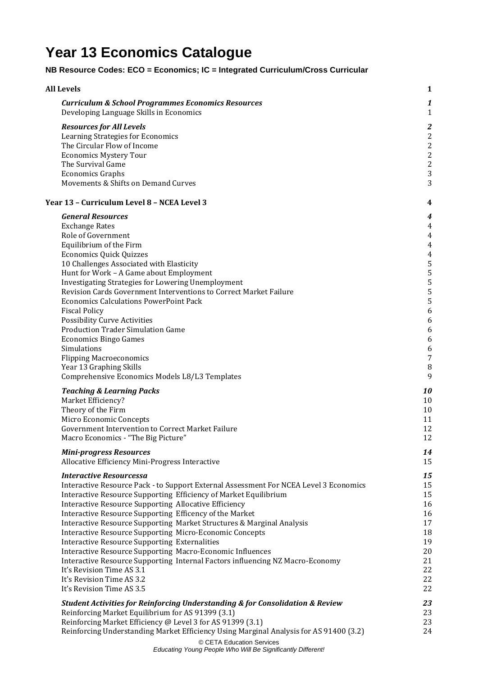## **Year 13 Economics Catalogue**

#### **NB Resource Codes: ECO = Economics; IC = Integrated Curriculum/Cross Curricular**

| <b>All Levels</b>                                                                                                                          | 1                 |
|--------------------------------------------------------------------------------------------------------------------------------------------|-------------------|
| <b>Curriculum &amp; School Programmes Economics Resources</b><br>Developing Language Skills in Economics                                   | 1<br>$\mathbf{1}$ |
| <b>Resources for All Levels</b>                                                                                                            | 2                 |
| Learning Strategies for Economics                                                                                                          | $\overline{c}$    |
| The Circular Flow of Income                                                                                                                | $\overline{c}$    |
| <b>Economics Mystery Tour</b>                                                                                                              | $\overline{c}$    |
| The Survival Game                                                                                                                          | $\overline{c}$    |
| <b>Economics Graphs</b>                                                                                                                    | 3                 |
| Movements & Shifts on Demand Curves                                                                                                        | 3                 |
| Year 13 - Curriculum Level 8 - NCEA Level 3                                                                                                | 4                 |
| <b>General Resources</b>                                                                                                                   | 4                 |
| <b>Exchange Rates</b>                                                                                                                      | 4                 |
| Role of Government                                                                                                                         | 4                 |
| Equilibrium of the Firm                                                                                                                    | 4                 |
| <b>Economics Quick Quizzes</b>                                                                                                             | 4                 |
| 10 Challenges Associated with Elasticity                                                                                                   | 5                 |
| Hunt for Work - A Game about Employment                                                                                                    | 5                 |
| Investigating Strategies for Lowering Unemployment                                                                                         | 5                 |
| Revision Cards Government Interventions to Correct Market Failure<br><b>Economics Calculations PowerPoint Pack</b>                         | 5                 |
| <b>Fiscal Policy</b>                                                                                                                       | 5                 |
| <b>Possibility Curve Activities</b>                                                                                                        | 6<br>6            |
| <b>Production Trader Simulation Game</b>                                                                                                   | 6                 |
| <b>Economics Bingo Games</b>                                                                                                               | 6                 |
| Simulations                                                                                                                                | 6                 |
| <b>Flipping Macroeconomics</b>                                                                                                             | 7                 |
| Year 13 Graphing Skills                                                                                                                    | 8                 |
| Comprehensive Economics Models L8/L3 Templates                                                                                             | 9                 |
| <b>Teaching &amp; Learning Packs</b>                                                                                                       | 10                |
| Market Efficiency?                                                                                                                         | 10                |
| Theory of the Firm                                                                                                                         | 10                |
| Micro Economic Concepts                                                                                                                    | 11                |
| Government Intervention to Correct Market Failure                                                                                          | 12                |
| Macro Economics - "The Big Picture"                                                                                                        | 12                |
| <b>Mini-progress Resources</b>                                                                                                             | 14                |
| Allocative Efficiency Mini-Progress Interactive                                                                                            | 15                |
| <b>Interactive Resourcessa</b>                                                                                                             | 15                |
| Interactive Resource Pack - to Support External Assessment For NCEA Level 3 Economics                                                      | 15                |
| Interactive Resource Supporting Efficiency of Market Equilibrium                                                                           | 15                |
| Interactive Resource Supporting Allocative Efficiency                                                                                      | 16                |
| Interactive Resource Supporting Efficency of the Market                                                                                    | 16                |
| Interactive Resource Supporting Market Structures & Marginal Analysis                                                                      | 17                |
| <b>Interactive Resource Supporting Micro-Economic Concepts</b>                                                                             | 18                |
| <b>Interactive Resource Supporting Externalities</b>                                                                                       | 19<br>20          |
| Interactive Resource Supporting Macro-Economic Influences<br>Interactive Resource Supporting Internal Factors influencing NZ Macro-Economy | 21                |
| It's Revision Time AS 3.1                                                                                                                  | 22                |
| It's Revision Time AS 3.2                                                                                                                  | 22                |
| It's Revision Time AS 3.5                                                                                                                  | 22                |
|                                                                                                                                            |                   |
| <b>Student Activities for Reinforcing Understanding &amp; for Consolidation &amp; Review</b>                                               | 23                |
| Reinforcing Market Equilibrium for AS 91399 (3.1)<br>Reinforcing Market Efficiency @ Level 3 for AS 91399 (3.1)                            | 23<br>23          |
| Reinforcing Understanding Market Efficiency Using Marginal Analysis for AS 91400 (3.2)                                                     | 24                |
| © CETA Education Services                                                                                                                  |                   |
|                                                                                                                                            |                   |

*Educating Young People Who Will Be Significantly Different!*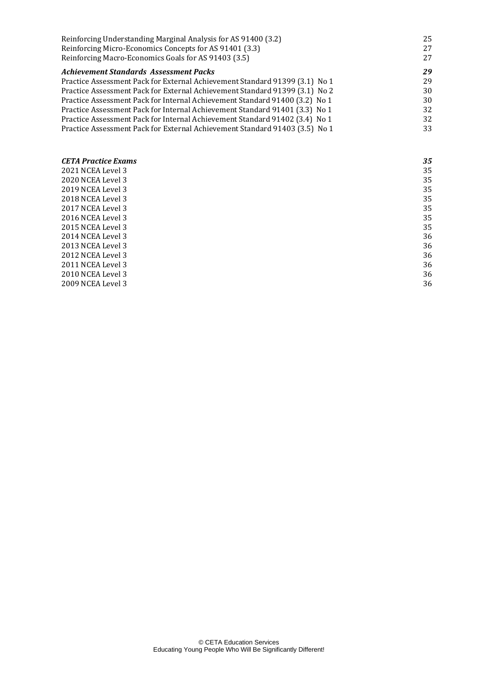| Reinforcing Understanding Marginal Analysis for AS 91400 (3.2)              | 25 |
|-----------------------------------------------------------------------------|----|
| Reinforcing Micro-Economics Concepts for AS 91401 (3.3)                     | 27 |
| Reinforcing Macro-Economics Goals for AS 91403 (3.5)                        | 27 |
| Achievement Standards Assessment Packs                                      | 29 |
| Practice Assessment Pack for External Achievement Standard 91399 (3.1) No 1 | 29 |
| Practice Assessment Pack for External Achievement Standard 91399 (3.1) No 2 | 30 |
| Practice Assessment Pack for Internal Achievement Standard 91400 (3.2) No 1 | 30 |
| Practice Assessment Pack for Internal Achievement Standard 91401 (3.3) No 1 | 32 |
| Practice Assessment Pack for Internal Achievement Standard 91402 (3.4) No 1 | 32 |
| Practice Assessment Pack for External Achievement Standard 91403 (3.5) No 1 | 33 |
|                                                                             |    |
| <b>CETA Practice Exams</b>                                                  | 35 |
| 2021 NCEA Level 3                                                           | 35 |
| 2020 NCEA Level 3                                                           | 35 |
| 2019 NCEA Level 3                                                           | 35 |
| 2018 NCEA Level 3                                                           | 35 |
| 2017 NCEA Level 3                                                           | 35 |

[2017 NCEA Level 3](#page-38-1) 35<br>2016 NCEA Level 3 35 [2016 NCEA Level 3](#page-38-2) 35<br>2015 NCEA Level 3 35

[2014 NCEA Level 3](#page-39-0) 36<br>2013 NCEA Level 3 36

[2012 NCEA Level 3](#page-39-2) 36<br>2011 NCEA Level 3 36 [2011 NCEA Level 3](#page-39-3) 36<br>2010 NCEA Level 3 36 [2010 NCEA Level 3](#page-39-4) 36<br>2009 NCEA Level 3 36

[2015 NCEA Level 3](#page-38-3)

[2013 NCEA Level 3](#page-39-1)

[2009 NCEA Level 3](#page-39-5)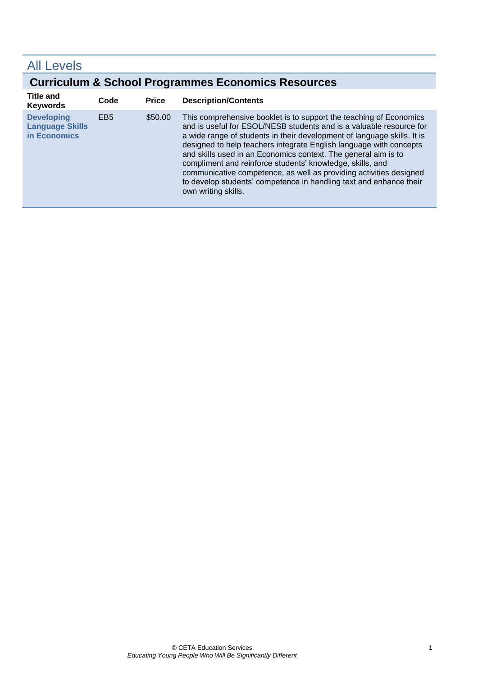## <span id="page-4-0"></span>All Levels

## **Curriculum & School Programmes Economics Resources**

<span id="page-4-1"></span>

| <b>Title and</b><br><b>Keywords</b>                         | Code            | <b>Price</b> | <b>Description/Contents</b>                                                                                                                                                                                                                                                                                                                                                                                                                                                                                                                                                                  |
|-------------------------------------------------------------|-----------------|--------------|----------------------------------------------------------------------------------------------------------------------------------------------------------------------------------------------------------------------------------------------------------------------------------------------------------------------------------------------------------------------------------------------------------------------------------------------------------------------------------------------------------------------------------------------------------------------------------------------|
| <b>Developing</b><br><b>Language Skills</b><br>in Economics | EB <sub>5</sub> | \$50.00      | This comprehensive booklet is to support the teaching of Economics<br>and is useful for ESOL/NESB students and is a valuable resource for<br>a wide range of students in their development of language skills. It is<br>designed to help teachers integrate English language with concepts<br>and skills used in an Economics context. The general aim is to<br>compliment and reinforce students' knowledge, skills, and<br>communicative competence, as well as providing activities designed<br>to develop students' competence in handling text and enhance their<br>own writing skills. |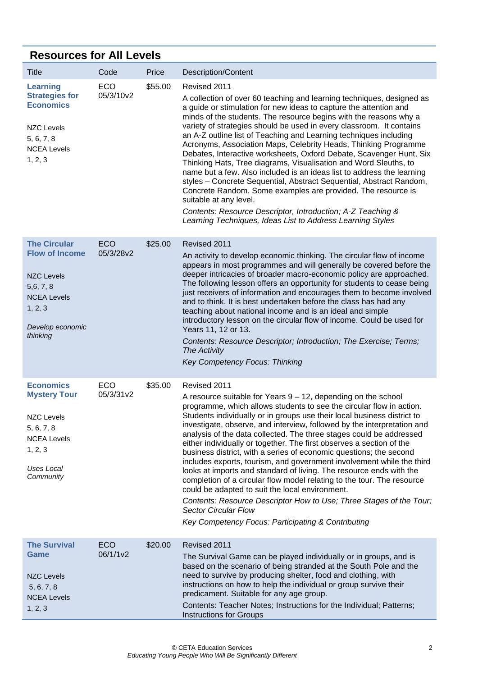## <span id="page-5-0"></span>**Resources for All Levels**

<span id="page-5-4"></span><span id="page-5-3"></span><span id="page-5-2"></span><span id="page-5-1"></span>

| Title                                                                                                                            | Code             | Price   | <b>Description/Content</b>                                                                                                                                                                                                                                                                                                                                                                                                                                                                                                                                                                                                                                                                                                                                                                                                                                                                                                                                         |
|----------------------------------------------------------------------------------------------------------------------------------|------------------|---------|--------------------------------------------------------------------------------------------------------------------------------------------------------------------------------------------------------------------------------------------------------------------------------------------------------------------------------------------------------------------------------------------------------------------------------------------------------------------------------------------------------------------------------------------------------------------------------------------------------------------------------------------------------------------------------------------------------------------------------------------------------------------------------------------------------------------------------------------------------------------------------------------------------------------------------------------------------------------|
| <b>Learning</b><br><b>Strategies for</b><br><b>Economics</b><br><b>NZC Levels</b><br>5, 6, 7, 8<br><b>NCEA Levels</b><br>1, 2, 3 | ECO<br>05/3/10v2 | \$55.00 | Revised 2011<br>A collection of over 60 teaching and learning techniques, designed as<br>a guide or stimulation for new ideas to capture the attention and<br>minds of the students. The resource begins with the reasons why a<br>variety of strategies should be used in every classroom. It contains<br>an A-Z outline list of Teaching and Learning techniques including<br>Acronyms, Association Maps, Celebrity Heads, Thinking Programme<br>Debates, Interactive worksheets, Oxford Debate, Scavenger Hunt, Six<br>Thinking Hats, Tree diagrams, Visualisation and Word Sleuths, to<br>name but a few. Also included is an ideas list to address the learning<br>styles - Concrete Sequential, Abstract Sequential, Abstract Random,<br>Concrete Random. Some examples are provided. The resource is<br>suitable at any level.<br>Contents: Resource Descriptor, Introduction; A-Z Teaching &<br>Learning Techniques, Ideas List to Address Learning Styles |
| <b>The Circular</b>                                                                                                              | ECO              | \$25.00 | Revised 2011                                                                                                                                                                                                                                                                                                                                                                                                                                                                                                                                                                                                                                                                                                                                                                                                                                                                                                                                                       |
| <b>Flow of Income</b><br><b>NZC Levels</b><br>5,6, 7, 8<br><b>NCEA Levels</b><br>1, 2, 3<br>Develop economic<br>thinking         | 05/3/28v2        |         | An activity to develop economic thinking. The circular flow of income<br>appears in most programmes and will generally be covered before the<br>deeper intricacies of broader macro-economic policy are approached.<br>The following lesson offers an opportunity for students to cease being<br>just receivers of information and encourages them to become involved<br>and to think. It is best undertaken before the class has had any<br>teaching about national income and is an ideal and simple<br>introductory lesson on the circular flow of income. Could be used for<br>Years 11, 12 or 13.<br>Contents: Resource Descriptor; Introduction; The Exercise; Terms;<br>The Activity<br>Key Competency Focus: Thinking                                                                                                                                                                                                                                      |
| <b>Economics</b>                                                                                                                 | ECO              | \$35.00 | Revised 2011                                                                                                                                                                                                                                                                                                                                                                                                                                                                                                                                                                                                                                                                                                                                                                                                                                                                                                                                                       |
| <b>Mystery Tour</b><br><b>NZC Levels</b><br>5, 6, 7, 8<br><b>NCEA Levels</b><br>1, 2, 3<br><b>Uses Local</b><br>Community        | 05/3/31v2        |         | A resource suitable for Years $9 - 12$ , depending on the school<br>programme, which allows students to see the circular flow in action.<br>Students individually or in groups use their local business district to<br>investigate, observe, and interview, followed by the interpretation and<br>analysis of the data collected. The three stages could be addressed<br>either individually or together. The first observes a section of the<br>business district, with a series of economic questions; the second<br>includes exports, tourism, and government involvement while the third<br>looks at imports and standard of living. The resource ends with the<br>completion of a circular flow model relating to the tour. The resource<br>could be adapted to suit the local environment.<br>Contents: Resource Descriptor How to Use; Three Stages of the Tour;<br><b>Sector Circular Flow</b><br>Key Competency Focus: Participating & Contributing       |
| <b>The Survival</b>                                                                                                              | <b>ECO</b>       | \$20.00 | Revised 2011                                                                                                                                                                                                                                                                                                                                                                                                                                                                                                                                                                                                                                                                                                                                                                                                                                                                                                                                                       |
| Game<br><b>NZC Levels</b><br>5, 6, 7, 8<br><b>NCEA Levels</b><br>1, 2, 3                                                         | 06/1/1v2         |         | The Survival Game can be played individually or in groups, and is<br>based on the scenario of being stranded at the South Pole and the<br>need to survive by producing shelter, food and clothing, with<br>instructions on how to help the individual or group survive their<br>predicament. Suitable for any age group.<br>Contents: Teacher Notes; Instructions for the Individual; Patterns;<br><b>Instructions for Groups</b>                                                                                                                                                                                                                                                                                                                                                                                                                                                                                                                                  |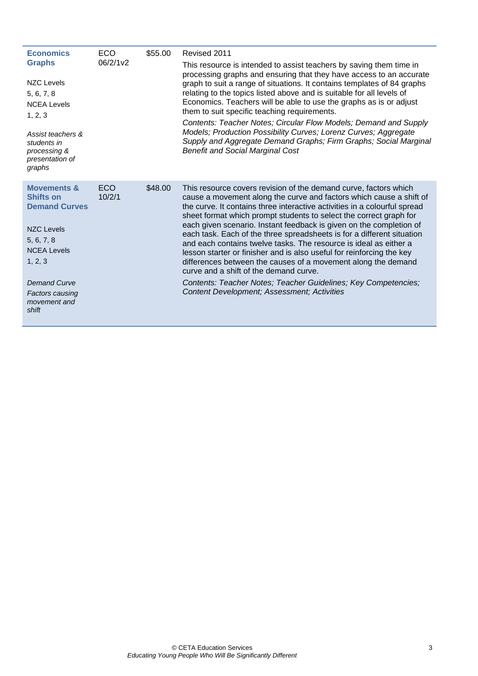<span id="page-6-1"></span><span id="page-6-0"></span>

| <b>Economics</b><br><b>Graphs</b><br><b>NZC Levels</b><br>5, 6, 7, 8<br><b>NCEA Levels</b><br>1, 2, 3<br>Assist teachers &<br>students in<br>processing &<br>presentation of<br>graphs                           | <b>ECO</b><br>06/2/1v2 | \$55.00 | Revised 2011<br>This resource is intended to assist teachers by saving them time in<br>processing graphs and ensuring that they have access to an accurate<br>graph to suit a range of situations. It contains templates of 84 graphs<br>relating to the topics listed above and is suitable for all levels of<br>Economics. Teachers will be able to use the graphs as is or adjust<br>them to suit specific teaching requirements.<br>Contents: Teacher Notes; Circular Flow Models; Demand and Supply<br>Models; Production Possibility Curves; Lorenz Curves; Aggregate<br>Supply and Aggregate Demand Graphs; Firm Graphs; Social Marginal<br><b>Benefit and Social Marginal Cost</b>                                                                                                                            |
|------------------------------------------------------------------------------------------------------------------------------------------------------------------------------------------------------------------|------------------------|---------|-----------------------------------------------------------------------------------------------------------------------------------------------------------------------------------------------------------------------------------------------------------------------------------------------------------------------------------------------------------------------------------------------------------------------------------------------------------------------------------------------------------------------------------------------------------------------------------------------------------------------------------------------------------------------------------------------------------------------------------------------------------------------------------------------------------------------|
| <b>Movements &amp;</b><br><b>Shifts on</b><br><b>Demand Curves</b><br><b>NZC Levels</b><br>5, 6, 7, 8<br><b>NCEA Levels</b><br>1, 2, 3<br><b>Demand Curve</b><br><b>Factors causing</b><br>movement and<br>shift | ECO.<br>10/2/1         | \$48.00 | This resource covers revision of the demand curve, factors which<br>cause a movement along the curve and factors which cause a shift of<br>the curve. It contains three interactive activities in a colourful spread<br>sheet format which prompt students to select the correct graph for<br>each given scenario. Instant feedback is given on the completion of<br>each task. Each of the three spreadsheets is for a different situation<br>and each contains twelve tasks. The resource is ideal as either a<br>lesson starter or finisher and is also useful for reinforcing the key<br>differences between the causes of a movement along the demand<br>curve and a shift of the demand curve.<br>Contents: Teacher Notes; Teacher Guidelines; Key Competencies;<br>Content Development; Assessment; Activities |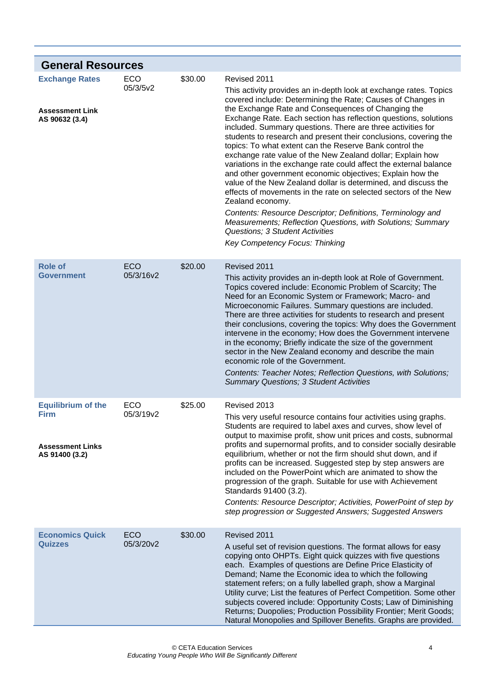<span id="page-7-4"></span><span id="page-7-3"></span><span id="page-7-2"></span><span id="page-7-1"></span><span id="page-7-0"></span>

| <b>General Resources</b>                                                              |                         |         |                                                                                                                                                                                                                                                                                                                                                                                                                                                                                                                                                                                                                                                                                                                                                                                                                                                                                                 |
|---------------------------------------------------------------------------------------|-------------------------|---------|-------------------------------------------------------------------------------------------------------------------------------------------------------------------------------------------------------------------------------------------------------------------------------------------------------------------------------------------------------------------------------------------------------------------------------------------------------------------------------------------------------------------------------------------------------------------------------------------------------------------------------------------------------------------------------------------------------------------------------------------------------------------------------------------------------------------------------------------------------------------------------------------------|
| <b>Exchange Rates</b><br><b>Assessment Link</b><br>AS 90632 (3.4)                     | <b>ECO</b><br>05/3/5v2  | \$30.00 | Revised 2011<br>This activity provides an in-depth look at exchange rates. Topics<br>covered include: Determining the Rate; Causes of Changes in<br>the Exchange Rate and Consequences of Changing the<br>Exchange Rate. Each section has reflection questions, solutions<br>included. Summary questions. There are three activities for<br>students to research and present their conclusions, covering the<br>topics: To what extent can the Reserve Bank control the<br>exchange rate value of the New Zealand dollar; Explain how<br>variations in the exchange rate could affect the external balance<br>and other government economic objectives; Explain how the<br>value of the New Zealand dollar is determined, and discuss the<br>effects of movements in the rate on selected sectors of the New<br>Zealand economy.<br>Contents: Resource Descriptor; Definitions, Terminology and |
|                                                                                       |                         |         | Measurements; Reflection Questions, with Solutions; Summary<br>Questions; 3 Student Activities<br>Key Competency Focus: Thinking                                                                                                                                                                                                                                                                                                                                                                                                                                                                                                                                                                                                                                                                                                                                                                |
| <b>Role of</b><br><b>Government</b>                                                   | <b>ECO</b><br>05/3/16v2 | \$20.00 | Revised 2011<br>This activity provides an in-depth look at Role of Government.<br>Topics covered include: Economic Problem of Scarcity; The<br>Need for an Economic System or Framework; Macro- and<br>Microeconomic Failures. Summary questions are included.<br>There are three activities for students to research and present<br>their conclusions, covering the topics: Why does the Government<br>intervene in the economy; How does the Government intervene<br>in the economy; Briefly indicate the size of the government<br>sector in the New Zealand economy and describe the main<br>economic role of the Government.<br>Contents: Teacher Notes; Reflection Questions, with Solutions;<br><b>Summary Questions; 3 Student Activities</b>                                                                                                                                           |
| <b>Equilibrium of the</b><br><b>Firm</b><br><b>Assessment Links</b><br>AS 91400 (3.2) | <b>ECO</b><br>05/3/19v2 | \$25.00 | Revised 2013<br>This very useful resource contains four activities using graphs.<br>Students are required to label axes and curves, show level of<br>output to maximise profit, show unit prices and costs, subnormal<br>profits and supernormal profits, and to consider socially desirable<br>equilibrium, whether or not the firm should shut down, and if<br>profits can be increased. Suggested step by step answers are<br>included on the PowerPoint which are animated to show the<br>progression of the graph. Suitable for use with Achievement<br>Standards 91400 (3.2).<br>Contents: Resource Descriptor; Activities, PowerPoint of step by<br>step progression or Suggested Answers; Suggested Answers                                                                                                                                                                             |
| <b>Economics Quick</b><br><b>Quizzes</b>                                              | <b>ECO</b><br>05/3/20v2 | \$30.00 | Revised 2011<br>A useful set of revision questions. The format allows for easy<br>copying onto OHPTs. Eight quick quizzes with five questions<br>each. Examples of questions are Define Price Elasticity of<br>Demand; Name the Economic idea to which the following<br>statement refers; on a fully labelled graph, show a Marginal<br>Utility curve; List the features of Perfect Competition. Some other<br>subjects covered include: Opportunity Costs; Law of Diminishing<br>Returns; Duopolies; Production Possibility Frontier; Merit Goods;<br>Natural Monopolies and Spillover Benefits. Graphs are provided.                                                                                                                                                                                                                                                                          |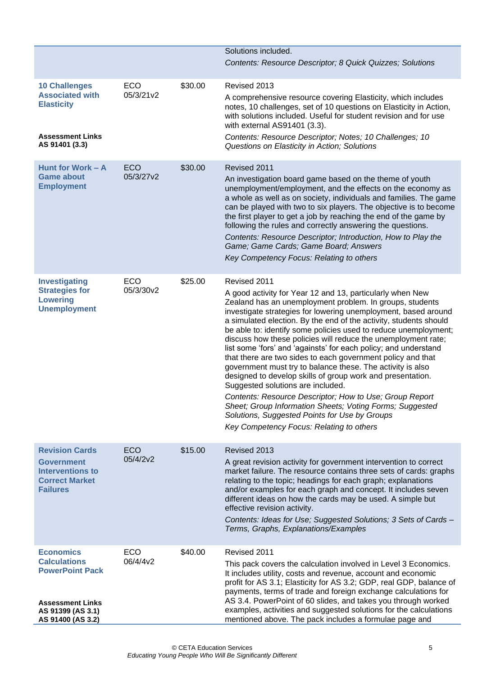<span id="page-8-4"></span><span id="page-8-3"></span><span id="page-8-2"></span><span id="page-8-1"></span><span id="page-8-0"></span>

|                                                                                                                   |                         |         | Solutions included.                                                                                                                                                                                                                                                                                                                                                                                                                                                                                                                                                                                                                                                                                                                                                                                                                                                                                                     |
|-------------------------------------------------------------------------------------------------------------------|-------------------------|---------|-------------------------------------------------------------------------------------------------------------------------------------------------------------------------------------------------------------------------------------------------------------------------------------------------------------------------------------------------------------------------------------------------------------------------------------------------------------------------------------------------------------------------------------------------------------------------------------------------------------------------------------------------------------------------------------------------------------------------------------------------------------------------------------------------------------------------------------------------------------------------------------------------------------------------|
|                                                                                                                   |                         |         | Contents: Resource Descriptor; 8 Quick Quizzes; Solutions                                                                                                                                                                                                                                                                                                                                                                                                                                                                                                                                                                                                                                                                                                                                                                                                                                                               |
| <b>10 Challenges</b><br><b>Associated with</b><br><b>Elasticity</b><br><b>Assessment Links</b><br>AS 91401 (3.3)  | <b>ECO</b><br>05/3/21v2 | \$30.00 | Revised 2013<br>A comprehensive resource covering Elasticity, which includes<br>notes, 10 challenges, set of 10 questions on Elasticity in Action,<br>with solutions included. Useful for student revision and for use<br>with external AS91401 (3.3).<br>Contents: Resource Descriptor; Notes; 10 Challenges; 10<br>Questions on Elasticity in Action; Solutions                                                                                                                                                                                                                                                                                                                                                                                                                                                                                                                                                       |
|                                                                                                                   |                         |         |                                                                                                                                                                                                                                                                                                                                                                                                                                                                                                                                                                                                                                                                                                                                                                                                                                                                                                                         |
| Hunt for Work - A<br><b>Game about</b><br><b>Employment</b>                                                       | <b>ECO</b><br>05/3/27v2 | \$30.00 | Revised 2011<br>An investigation board game based on the theme of youth<br>unemployment/employment, and the effects on the economy as<br>a whole as well as on society, individuals and families. The game<br>can be played with two to six players. The objective is to become<br>the first player to get a job by reaching the end of the game by<br>following the rules and correctly answering the questions.                                                                                                                                                                                                                                                                                                                                                                                                                                                                                                       |
|                                                                                                                   |                         |         | Contents: Resource Descriptor; Introduction, How to Play the<br>Game; Game Cards; Game Board; Answers<br>Key Competency Focus: Relating to others                                                                                                                                                                                                                                                                                                                                                                                                                                                                                                                                                                                                                                                                                                                                                                       |
| <b>Investigating</b>                                                                                              | <b>ECO</b>              | \$25.00 | Revised 2011                                                                                                                                                                                                                                                                                                                                                                                                                                                                                                                                                                                                                                                                                                                                                                                                                                                                                                            |
| <b>Strategies for</b><br><b>Lowering</b><br><b>Unemployment</b>                                                   | 05/3/30v2               |         | A good activity for Year 12 and 13, particularly when New<br>Zealand has an unemployment problem. In groups, students<br>investigate strategies for lowering unemployment, based around<br>a simulated election. By the end of the activity, students should<br>be able to: identify some policies used to reduce unemployment;<br>discuss how these policies will reduce the unemployment rate;<br>list some 'fors' and 'againsts' for each policy; and understand<br>that there are two sides to each government policy and that<br>government must try to balance these. The activity is also<br>designed to develop skills of group work and presentation.<br>Suggested solutions are included.<br>Contents: Resource Descriptor; How to Use; Group Report<br>Sheet; Group Information Sheets; Voting Forms; Suggested<br>Solutions, Suggested Points for Use by Groups<br>Key Competency Focus: Relating to others |
| <b>Revision Cards</b>                                                                                             | <b>ECO</b>              | \$15.00 | Revised 2013                                                                                                                                                                                                                                                                                                                                                                                                                                                                                                                                                                                                                                                                                                                                                                                                                                                                                                            |
| <b>Government</b><br><b>Interventions to</b><br><b>Correct Market</b><br><b>Failures</b>                          | 05/4/2v2                |         | A great revision activity for government intervention to correct<br>market failure. The resource contains three sets of cards: graphs<br>relating to the topic; headings for each graph; explanations<br>and/or examples for each graph and concept. It includes seven<br>different ideas on how the cards may be used. A simple but<br>effective revision activity.<br>Contents: Ideas for Use; Suggested Solutions; 3 Sets of Cards -<br>Terms, Graphs, Explanations/Examples                                                                                                                                                                                                                                                                                                                                                                                                                                         |
|                                                                                                                   |                         |         |                                                                                                                                                                                                                                                                                                                                                                                                                                                                                                                                                                                                                                                                                                                                                                                                                                                                                                                         |
| <b>Economics</b><br><b>Calculations</b><br><b>PowerPoint Pack</b><br><b>Assessment Links</b><br>AS 91399 (AS 3.1) | <b>ECO</b><br>06/4/4v2  | \$40.00 | Revised 2011<br>This pack covers the calculation involved in Level 3 Economics.<br>It includes utility, costs and revenue, account and economic<br>profit for AS 3.1; Elasticity for AS 3.2; GDP, real GDP, balance of<br>payments, terms of trade and foreign exchange calculations for<br>AS 3.4. PowerPoint of 60 slides, and takes you through worked<br>examples, activities and suggested solutions for the calculations                                                                                                                                                                                                                                                                                                                                                                                                                                                                                          |
| AS 91400 (AS 3.2)                                                                                                 |                         |         | mentioned above. The pack includes a formulae page and                                                                                                                                                                                                                                                                                                                                                                                                                                                                                                                                                                                                                                                                                                                                                                                                                                                                  |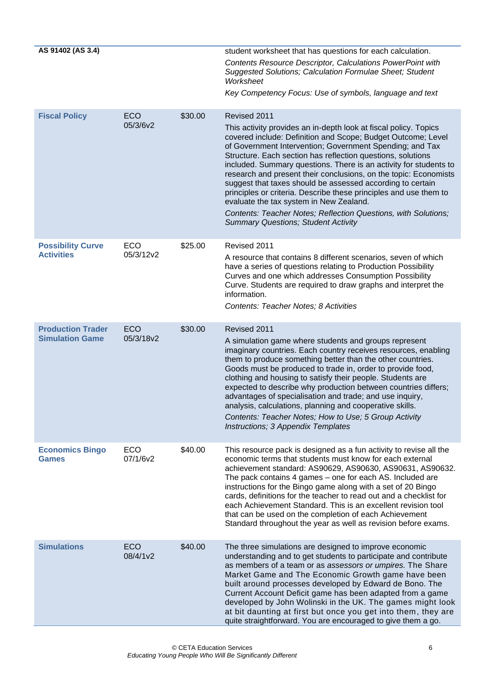<span id="page-9-4"></span><span id="page-9-3"></span><span id="page-9-2"></span><span id="page-9-1"></span><span id="page-9-0"></span>

| AS 91402 (AS 3.4)                             |                         |         | student worksheet that has questions for each calculation.<br><b>Contents Resource Descriptor, Calculations PowerPoint with</b><br>Suggested Solutions; Calculation Formulae Sheet; Student<br>Worksheet<br>Key Competency Focus: Use of symbols, language and text                                                                                                                                                                                                                                                                                                                                                                                                                                |
|-----------------------------------------------|-------------------------|---------|----------------------------------------------------------------------------------------------------------------------------------------------------------------------------------------------------------------------------------------------------------------------------------------------------------------------------------------------------------------------------------------------------------------------------------------------------------------------------------------------------------------------------------------------------------------------------------------------------------------------------------------------------------------------------------------------------|
| <b>Fiscal Policy</b>                          | <b>ECO</b>              | \$30.00 | Revised 2011                                                                                                                                                                                                                                                                                                                                                                                                                                                                                                                                                                                                                                                                                       |
|                                               | 05/3/6v2                |         | This activity provides an in-depth look at fiscal policy. Topics<br>covered include: Definition and Scope; Budget Outcome; Level<br>of Government Intervention; Government Spending; and Tax<br>Structure. Each section has reflection questions, solutions<br>included. Summary questions. There is an activity for students to<br>research and present their conclusions, on the topic: Economists<br>suggest that taxes should be assessed according to certain<br>principles or criteria. Describe these principles and use them to<br>evaluate the tax system in New Zealand.<br>Contents: Teacher Notes; Reflection Questions, with Solutions;<br><b>Summary Questions; Student Activity</b> |
|                                               |                         |         |                                                                                                                                                                                                                                                                                                                                                                                                                                                                                                                                                                                                                                                                                                    |
| <b>Possibility Curve</b><br><b>Activities</b> | <b>ECO</b><br>05/3/12v2 | \$25.00 | Revised 2011<br>A resource that contains 8 different scenarios, seven of which<br>have a series of questions relating to Production Possibility<br>Curves and one which addresses Consumption Possibility<br>Curve. Students are required to draw graphs and interpret the<br>information.<br>Contents: Teacher Notes; 8 Activities                                                                                                                                                                                                                                                                                                                                                                |
| <b>Production Trader</b>                      | <b>ECO</b>              | \$30.00 | Revised 2011                                                                                                                                                                                                                                                                                                                                                                                                                                                                                                                                                                                                                                                                                       |
| <b>Simulation Game</b>                        | 05/3/18v2               |         | A simulation game where students and groups represent<br>imaginary countries. Each country receives resources, enabling<br>them to produce something better than the other countries.<br>Goods must be produced to trade in, order to provide food,<br>clothing and housing to satisfy their people. Students are<br>expected to describe why production between countries differs;<br>advantages of specialisation and trade; and use inquiry,<br>analysis, calculations, planning and cooperative skills.<br>Contents: Teacher Notes; How to Use; 5 Group Activity<br>Instructions; 3 Appendix Templates                                                                                         |
| <b>Economics Bingo</b><br><b>Games</b>        | <b>ECO</b><br>07/1/6v2  | \$40.00 | This resource pack is designed as a fun activity to revise all the<br>economic terms that students must know for each external<br>achievement standard: AS90629, AS90630, AS90631, AS90632.<br>The pack contains 4 games - one for each AS. Included are<br>instructions for the Bingo game along with a set of 20 Bingo<br>cards, definitions for the teacher to read out and a checklist for<br>each Achievement Standard. This is an excellent revision tool<br>that can be used on the completion of each Achievement<br>Standard throughout the year as well as revision before exams.                                                                                                        |
| <b>Simulations</b>                            | <b>ECO</b><br>08/4/1v2  | \$40.00 | The three simulations are designed to improve economic<br>understanding and to get students to participate and contribute<br>as members of a team or as assessors or umpires. The Share<br>Market Game and The Economic Growth game have been<br>built around processes developed by Edward de Bono. The<br>Current Account Deficit game has been adapted from a game<br>developed by John Wolinski in the UK. The games might look<br>at bit daunting at first but once you get into them, they are<br>quite straightforward. You are encouraged to give them a go.                                                                                                                               |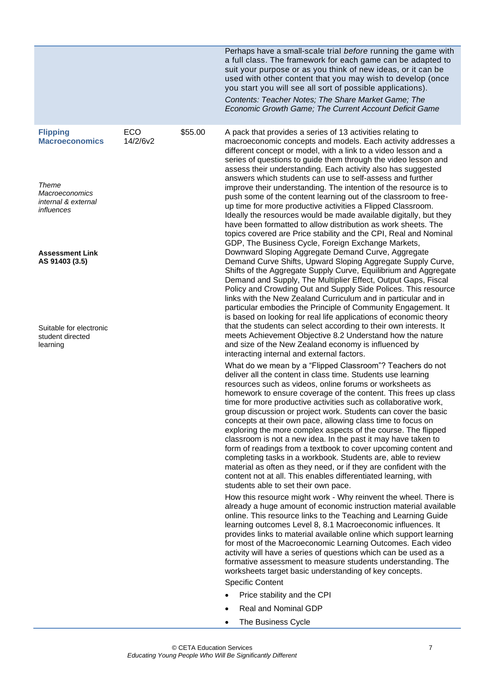<span id="page-10-0"></span>

|                                                                                                                        |                 |         | Perhaps have a small-scale trial before running the game with<br>a full class. The framework for each game can be adapted to<br>suit your purpose or as you think of new ideas, or it can be<br>used with other content that you may wish to develop (once<br>you start you will see all sort of possible applications).<br>Contents: Teacher Notes; The Share Market Game; The<br>Economic Growth Game; The Current Account Deficit Game                                                                                                                                                                                                                                                                                                                                                                                                                                                                                                                                                                             |
|------------------------------------------------------------------------------------------------------------------------|-----------------|---------|-----------------------------------------------------------------------------------------------------------------------------------------------------------------------------------------------------------------------------------------------------------------------------------------------------------------------------------------------------------------------------------------------------------------------------------------------------------------------------------------------------------------------------------------------------------------------------------------------------------------------------------------------------------------------------------------------------------------------------------------------------------------------------------------------------------------------------------------------------------------------------------------------------------------------------------------------------------------------------------------------------------------------|
| <b>Flipping</b><br><b>Macroeconomics</b><br>Theme<br><i><b>Macroeconomics</b></i><br>internal & external<br>influences | ECO<br>14/2/6v2 | \$55.00 | A pack that provides a series of 13 activities relating to<br>macroeconomic concepts and models. Each activity addresses a<br>different concept or model, with a link to a video lesson and a<br>series of questions to guide them through the video lesson and<br>assess their understanding. Each activity also has suggested<br>answers which students can use to self-assess and further<br>improve their understanding. The intention of the resource is to<br>push some of the content learning out of the classroom to free-<br>up time for more productive activities a Flipped Classroom.<br>Ideally the resources would be made available digitally, but they<br>have been formatted to allow distribution as work sheets. The<br>topics covered are Price stability and the CPI, Real and Nominal<br>GDP, The Business Cycle, Foreign Exchange Markets,                                                                                                                                                    |
| <b>Assessment Link</b><br>AS 91403 (3.5)<br>Suitable for electronic<br>student directed                                |                 |         | Downward Sloping Aggregate Demand Curve, Aggregate<br>Demand Curve Shifts, Upward Sloping Aggregate Supply Curve,<br>Shifts of the Aggregate Supply Curve, Equilibrium and Aggregate<br>Demand and Supply, The Multiplier Effect, Output Gaps, Fiscal<br>Policy and Crowding Out and Supply Side Polices. This resource<br>links with the New Zealand Curriculum and in particular and in<br>particular embodies the Principle of Community Engagement. It<br>is based on looking for real life applications of economic theory<br>that the students can select according to their own interests. It<br>meets Achievement Objective 8.2 Understand how the nature                                                                                                                                                                                                                                                                                                                                                     |
| learning                                                                                                               |                 |         | and size of the New Zealand economy is influenced by<br>interacting internal and external factors.<br>What do we mean by a "Flipped Classroom"? Teachers do not<br>deliver all the content in class time. Students use learning<br>resources such as videos, online forums or worksheets as<br>homework to ensure coverage of the content. This frees up class<br>time for more productive activities such as collaborative work.<br>group discussion or project work. Students can cover the basic<br>concepts at their own pace, allowing class time to focus on<br>exploring the more complex aspects of the course. The flipped<br>classroom is not a new idea. In the past it may have taken to<br>form of readings from a textbook to cover upcoming content and<br>completing tasks in a workbook. Students are, able to review<br>material as often as they need, or if they are confident with the<br>content not at all. This enables differentiated learning, with<br>students able to set their own pace. |
|                                                                                                                        |                 |         | How this resource might work - Why reinvent the wheel. There is<br>already a huge amount of economic instruction material available<br>online. This resource links to the Teaching and Learning Guide<br>learning outcomes Level 8, 8.1 Macroeconomic influences. It<br>provides links to material available online which support learning<br>for most of the Macroeconomic Learning Outcomes. Each video<br>activity will have a series of questions which can be used as a<br>formative assessment to measure students understanding. The<br>worksheets target basic understanding of key concepts.<br><b>Specific Content</b>                                                                                                                                                                                                                                                                                                                                                                                      |
|                                                                                                                        |                 |         | Price stability and the CPI                                                                                                                                                                                                                                                                                                                                                                                                                                                                                                                                                                                                                                                                                                                                                                                                                                                                                                                                                                                           |
|                                                                                                                        |                 |         | <b>Real and Nominal GDP</b>                                                                                                                                                                                                                                                                                                                                                                                                                                                                                                                                                                                                                                                                                                                                                                                                                                                                                                                                                                                           |
|                                                                                                                        |                 |         | The Business Cycle                                                                                                                                                                                                                                                                                                                                                                                                                                                                                                                                                                                                                                                                                                                                                                                                                                                                                                                                                                                                    |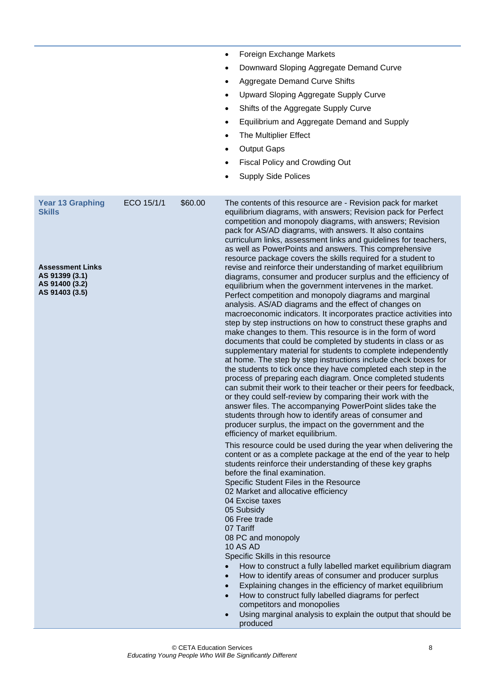<span id="page-11-0"></span>

|                                                                               | $\bullet$<br>٠<br>٠<br>٠<br>$\bullet$<br>$\bullet$<br>$\bullet$<br>$\bullet$ | Foreign Exchange Markets<br>Downward Sloping Aggregate Demand Curve<br><b>Aggregate Demand Curve Shifts</b><br>Upward Sloping Aggregate Supply Curve<br>Shifts of the Aggregate Supply Curve<br>Equilibrium and Aggregate Demand and Supply<br>The Multiplier Effect<br><b>Output Gaps</b><br>Fiscal Policy and Crowding Out<br><b>Supply Side Polices</b>                                                                                                                                                                                                                                                                                                                                                                                                                                                                                                                                                                                                                                                                                                                                                                                                                                                          |
|-------------------------------------------------------------------------------|------------------------------------------------------------------------------|---------------------------------------------------------------------------------------------------------------------------------------------------------------------------------------------------------------------------------------------------------------------------------------------------------------------------------------------------------------------------------------------------------------------------------------------------------------------------------------------------------------------------------------------------------------------------------------------------------------------------------------------------------------------------------------------------------------------------------------------------------------------------------------------------------------------------------------------------------------------------------------------------------------------------------------------------------------------------------------------------------------------------------------------------------------------------------------------------------------------------------------------------------------------------------------------------------------------|
| ECO 15/1/1<br><b>Year 13 Graphing</b><br><b>Skills</b>                        | \$60.00                                                                      | The contents of this resource are - Revision pack for market<br>equilibrium diagrams, with answers; Revision pack for Perfect<br>competition and monopoly diagrams, with answers; Revision<br>pack for AS/AD diagrams, with answers. It also contains<br>curriculum links, assessment links and guidelines for teachers,<br>as well as PowerPoints and answers. This comprehensive<br>resource package covers the skills required for a student to                                                                                                                                                                                                                                                                                                                                                                                                                                                                                                                                                                                                                                                                                                                                                                  |
| <b>Assessment Links</b><br>AS 91399 (3.1)<br>AS 91400 (3.2)<br>AS 91403 (3.5) |                                                                              | revise and reinforce their understanding of market equilibrium<br>diagrams, consumer and producer surplus and the efficiency of<br>equilibrium when the government intervenes in the market.<br>Perfect competition and monopoly diagrams and marginal<br>analysis. AS/AD diagrams and the effect of changes on<br>macroeconomic indicators. It incorporates practice activities into<br>step by step instructions on how to construct these graphs and<br>make changes to them. This resource is in the form of word<br>documents that could be completed by students in class or as<br>supplementary material for students to complete independently<br>at home. The step by step instructions include check boxes for<br>the students to tick once they have completed each step in the<br>process of preparing each diagram. Once completed students<br>can submit their work to their teacher or their peers for feedback,<br>or they could self-review by comparing their work with the<br>answer files. The accompanying PowerPoint slides take the<br>students through how to identify areas of consumer and<br>producer surplus, the impact on the government and the<br>efficiency of market equilibrium. |
|                                                                               | $\bullet$<br>$\bullet$                                                       | This resource could be used during the year when delivering the<br>content or as a complete package at the end of the year to help<br>students reinforce their understanding of these key graphs<br>before the final examination.<br>Specific Student Files in the Resource<br>02 Market and allocative efficiency<br>04 Excise taxes<br>05 Subsidy<br>06 Free trade<br>07 Tariff<br>08 PC and monopoly<br><b>10 AS AD</b><br>Specific Skills in this resource<br>How to construct a fully labelled market equilibrium diagram<br>How to identify areas of consumer and producer surplus<br>Explaining changes in the efficiency of market equilibrium<br>How to construct fully labelled diagrams for perfect<br>competitors and monopolies<br>Using marginal analysis to explain the output that should be<br>produced                                                                                                                                                                                                                                                                                                                                                                                            |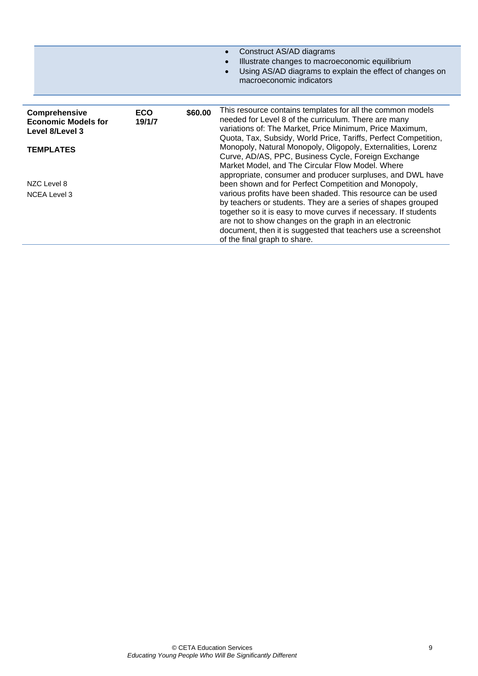|                                                                       |                      |         | Construct AS/AD diagrams<br>Illustrate changes to macroeconomic equilibrium<br>Using AS/AD diagrams to explain the effect of changes on<br>macroeconomic indicators                                                                                                                                                                                                                                              |
|-----------------------------------------------------------------------|----------------------|---------|------------------------------------------------------------------------------------------------------------------------------------------------------------------------------------------------------------------------------------------------------------------------------------------------------------------------------------------------------------------------------------------------------------------|
| <b>Comprehensive</b><br><b>Economic Models for</b><br>Level 8/Level 3 | <b>ECO</b><br>19/1/7 | \$60.00 | This resource contains templates for all the common models<br>needed for Level 8 of the curriculum. There are many<br>variations of: The Market, Price Minimum, Price Maximum,<br>Quota, Tax, Subsidy, World Price, Tariffs, Perfect Competition,                                                                                                                                                                |
| <b>TEMPLATES</b>                                                      |                      |         | Monopoly, Natural Monopoly, Oligopoly, Externalities, Lorenz<br>Curve, AD/AS, PPC, Business Cycle, Foreign Exchange<br>Market Model, and The Circular Flow Model. Where<br>appropriate, consumer and producer surpluses, and DWL have                                                                                                                                                                            |
| NZC Level 8<br><b>NCEA Level 3</b>                                    |                      |         | been shown and for Perfect Competition and Monopoly,<br>various profits have been shaded. This resource can be used<br>by teachers or students. They are a series of shapes grouped<br>together so it is easy to move curves if necessary. If students<br>are not to show changes on the graph in an electronic<br>document, then it is suggested that teachers use a screenshot<br>of the final graph to share. |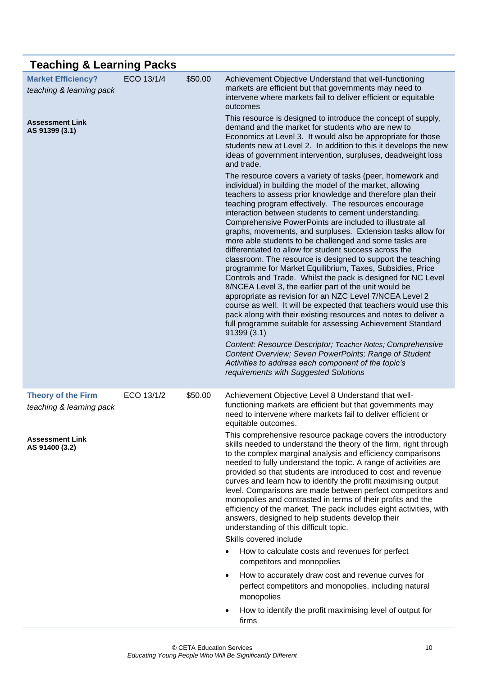<span id="page-13-2"></span><span id="page-13-1"></span><span id="page-13-0"></span>

| <b>Teaching &amp; Learning Packs</b>                  |            |         |                                                                                                                                                                                                                                                                                                                                                                                                                                                                                                                                                                                                                                                                                                                                                                                                                                                                                                                                                                                                                                                                                                                                                                                                                                                                                                                    |
|-------------------------------------------------------|------------|---------|--------------------------------------------------------------------------------------------------------------------------------------------------------------------------------------------------------------------------------------------------------------------------------------------------------------------------------------------------------------------------------------------------------------------------------------------------------------------------------------------------------------------------------------------------------------------------------------------------------------------------------------------------------------------------------------------------------------------------------------------------------------------------------------------------------------------------------------------------------------------------------------------------------------------------------------------------------------------------------------------------------------------------------------------------------------------------------------------------------------------------------------------------------------------------------------------------------------------------------------------------------------------------------------------------------------------|
| <b>Market Efficiency?</b><br>teaching & learning pack | ECO 13/1/4 | \$50.00 | Achievement Objective Understand that well-functioning<br>markets are efficient but that governments may need to<br>intervene where markets fail to deliver efficient or equitable<br>outcomes                                                                                                                                                                                                                                                                                                                                                                                                                                                                                                                                                                                                                                                                                                                                                                                                                                                                                                                                                                                                                                                                                                                     |
| <b>Assessment Link</b><br>AS 91399 (3.1)              |            |         | This resource is designed to introduce the concept of supply,<br>demand and the market for students who are new to<br>Economics at Level 3. It would also be appropriate for those<br>students new at Level 2. In addition to this it develops the new<br>ideas of government intervention, surpluses, deadweight loss<br>and trade.                                                                                                                                                                                                                                                                                                                                                                                                                                                                                                                                                                                                                                                                                                                                                                                                                                                                                                                                                                               |
|                                                       |            |         | The resource covers a variety of tasks (peer, homework and<br>individual) in building the model of the market, allowing<br>teachers to assess prior knowledge and therefore plan their<br>teaching program effectively. The resources encourage<br>interaction between students to cement understanding.<br>Comprehensive PowerPoints are included to illustrate all<br>graphs, movements, and surpluses. Extension tasks allow for<br>more able students to be challenged and some tasks are<br>differentiated to allow for student success across the<br>classroom. The resource is designed to support the teaching<br>programme for Market Equilibrium, Taxes, Subsidies, Price<br>Controls and Trade. Whilst the pack is designed for NC Level<br>8/NCEA Level 3, the earlier part of the unit would be<br>appropriate as revision for an NZC Level 7/NCEA Level 2<br>course as well. It will be expected that teachers would use this<br>pack along with their existing resources and notes to deliver a<br>full programme suitable for assessing Achievement Standard<br>91399 (3.1)<br>Content: Resource Descriptor; Teacher Notes; Comprehensive<br>Content Overview; Seven PowerPoints; Range of Student<br>Activities to address each component of the topic's<br>requirements with Suggested Solutions |
| <b>Theory of the Firm</b><br>teaching & learning pack | ECO 13/1/2 | \$50.00 | Achievement Objective Level 8 Understand that well-<br>functioning markets are efficient but that governments may<br>need to intervene where markets fail to deliver efficient or<br>equitable outcomes.                                                                                                                                                                                                                                                                                                                                                                                                                                                                                                                                                                                                                                                                                                                                                                                                                                                                                                                                                                                                                                                                                                           |
| <b>Assessment Link</b><br>AS 91400 (3.2)              |            |         | This comprehensive resource package covers the introductory<br>skills needed to understand the theory of the firm, right through<br>to the complex marginal analysis and efficiency comparisons<br>needed to fully understand the topic. A range of activities are<br>provided so that students are introduced to cost and revenue<br>curves and learn how to identify the profit maximising output<br>level. Comparisons are made between perfect competitors and<br>monopolies and contrasted in terms of their profits and the<br>efficiency of the market. The pack includes eight activities, with<br>answers, designed to help students develop their<br>understanding of this difficult topic.<br>Skills covered include                                                                                                                                                                                                                                                                                                                                                                                                                                                                                                                                                                                    |
|                                                       |            |         | How to calculate costs and revenues for perfect                                                                                                                                                                                                                                                                                                                                                                                                                                                                                                                                                                                                                                                                                                                                                                                                                                                                                                                                                                                                                                                                                                                                                                                                                                                                    |
|                                                       |            |         | competitors and monopolies                                                                                                                                                                                                                                                                                                                                                                                                                                                                                                                                                                                                                                                                                                                                                                                                                                                                                                                                                                                                                                                                                                                                                                                                                                                                                         |
|                                                       |            |         | How to accurately draw cost and revenue curves for<br>$\bullet$<br>perfect competitors and monopolies, including natural<br>monopolies                                                                                                                                                                                                                                                                                                                                                                                                                                                                                                                                                                                                                                                                                                                                                                                                                                                                                                                                                                                                                                                                                                                                                                             |
|                                                       |            |         | How to identify the profit maximising level of output for<br>$\bullet$<br>firms                                                                                                                                                                                                                                                                                                                                                                                                                                                                                                                                                                                                                                                                                                                                                                                                                                                                                                                                                                                                                                                                                                                                                                                                                                    |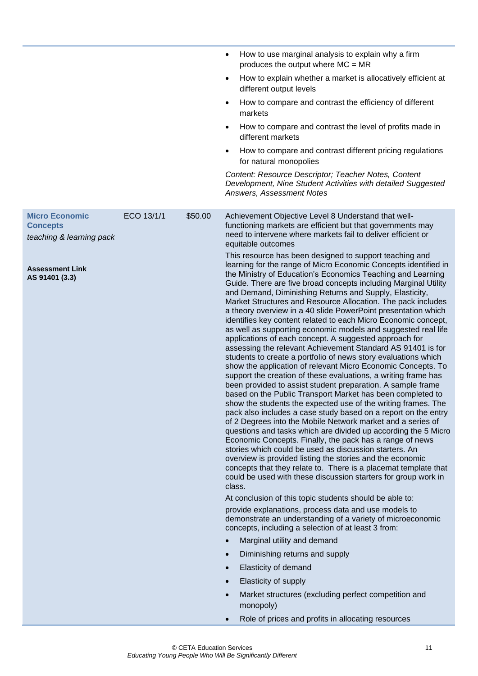<span id="page-14-0"></span>

|                                                                                                                  |            |         | How to use marginal analysis to explain why a firm<br>$\bullet$<br>produces the output where $MC = MR$<br>How to explain whether a market is allocatively efficient at<br>$\bullet$<br>different output levels<br>How to compare and contrast the efficiency of different<br>٠<br>markets<br>How to compare and contrast the level of profits made in<br>$\bullet$<br>different markets<br>How to compare and contrast different pricing regulations<br>$\bullet$<br>for natural monopolies<br>Content: Resource Descriptor; Teacher Notes, Content<br>Development, Nine Student Activities with detailed Suggested<br>Answers, Assessment Notes                                                                                                                                                                                                                                                                                                                                                                                                                                                                                                                                                                                                                                                                                                                                                                                                                                                                                                                                                                                                                                                                                                                                                                                                                                                                                                                                                                                                                                                                                                                                                                                                                                                                                                                      |
|------------------------------------------------------------------------------------------------------------------|------------|---------|-----------------------------------------------------------------------------------------------------------------------------------------------------------------------------------------------------------------------------------------------------------------------------------------------------------------------------------------------------------------------------------------------------------------------------------------------------------------------------------------------------------------------------------------------------------------------------------------------------------------------------------------------------------------------------------------------------------------------------------------------------------------------------------------------------------------------------------------------------------------------------------------------------------------------------------------------------------------------------------------------------------------------------------------------------------------------------------------------------------------------------------------------------------------------------------------------------------------------------------------------------------------------------------------------------------------------------------------------------------------------------------------------------------------------------------------------------------------------------------------------------------------------------------------------------------------------------------------------------------------------------------------------------------------------------------------------------------------------------------------------------------------------------------------------------------------------------------------------------------------------------------------------------------------------------------------------------------------------------------------------------------------------------------------------------------------------------------------------------------------------------------------------------------------------------------------------------------------------------------------------------------------------------------------------------------------------------------------------------------------------|
| <b>Micro Economic</b><br><b>Concepts</b><br>teaching & learning pack<br><b>Assessment Link</b><br>AS 91401 (3.3) | ECO 13/1/1 | \$50.00 | Achievement Objective Level 8 Understand that well-<br>functioning markets are efficient but that governments may<br>need to intervene where markets fail to deliver efficient or<br>equitable outcomes<br>This resource has been designed to support teaching and<br>learning for the range of Micro Economic Concepts identified in<br>the Ministry of Education's Economics Teaching and Learning<br>Guide. There are five broad concepts including Marginal Utility<br>and Demand, Diminishing Returns and Supply, Elasticity,<br>Market Structures and Resource Allocation. The pack includes<br>a theory overview in a 40 slide PowerPoint presentation which<br>identifies key content related to each Micro Economic concept,<br>as well as supporting economic models and suggested real life<br>applications of each concept. A suggested approach for<br>assessing the relevant Achievement Standard AS 91401 is for<br>students to create a portfolio of news story evaluations which<br>show the application of relevant Micro Economic Concepts. To<br>support the creation of these evaluations, a writing frame has<br>been provided to assist student preparation. A sample frame<br>based on the Public Transport Market has been completed to<br>show the students the expected use of the writing frames. The<br>pack also includes a case study based on a report on the entry<br>of 2 Degrees into the Mobile Network market and a series of<br>questions and tasks which are divided up according the 5 Micro<br>Economic Concepts. Finally, the pack has a range of news<br>stories which could be used as discussion starters. An<br>overview is provided listing the stories and the economic<br>concepts that they relate to. There is a placemat template that<br>could be used with these discussion starters for group work in<br>class.<br>At conclusion of this topic students should be able to:<br>provide explanations, process data and use models to<br>demonstrate an understanding of a variety of microeconomic<br>concepts, including a selection of at least 3 from:<br>Marginal utility and demand<br>$\bullet$<br>Diminishing returns and supply<br>$\bullet$<br>Elasticity of demand<br>$\bullet$<br>Elasticity of supply<br>$\bullet$<br>Market structures (excluding perfect competition and<br>$\bullet$<br>monopoly) |
|                                                                                                                  |            |         | Role of prices and profits in allocating resources                                                                                                                                                                                                                                                                                                                                                                                                                                                                                                                                                                                                                                                                                                                                                                                                                                                                                                                                                                                                                                                                                                                                                                                                                                                                                                                                                                                                                                                                                                                                                                                                                                                                                                                                                                                                                                                                                                                                                                                                                                                                                                                                                                                                                                                                                                                    |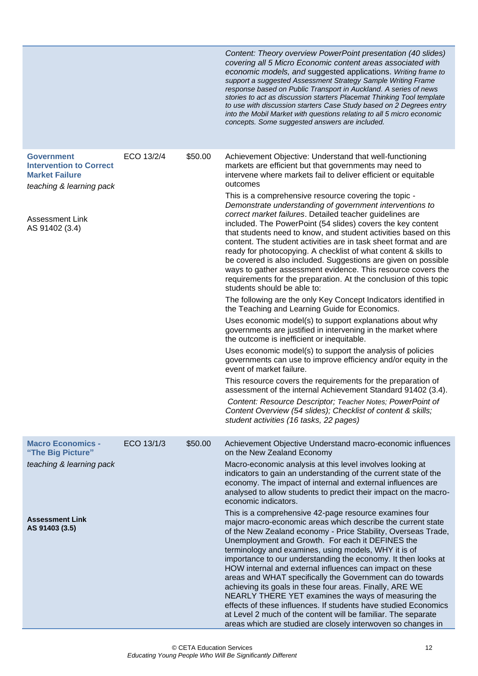<span id="page-15-1"></span><span id="page-15-0"></span>

|                                                                                                                                                      |            |         | Content: Theory overview PowerPoint presentation (40 slides)<br>covering all 5 Micro Economic content areas associated with<br>economic models, and suggested applications. Writing frame to<br>support a suggested Assessment Strategy Sample Writing Frame<br>response based on Public Transport in Auckland. A series of news<br>stories to act as discussion starters Placemat Thinking Tool template<br>to use with discussion starters Case Study based on 2 Degrees entry<br>into the Mobil Market with questions relating to all 5 micro economic<br>concepts. Some suggested answers are included.                                                                                                                                                                                                                                                                                                                                                                                                                                                                                                                                                                                                                                                                                                                                                                                                                                                                                                                                                                                                                                                          |
|------------------------------------------------------------------------------------------------------------------------------------------------------|------------|---------|----------------------------------------------------------------------------------------------------------------------------------------------------------------------------------------------------------------------------------------------------------------------------------------------------------------------------------------------------------------------------------------------------------------------------------------------------------------------------------------------------------------------------------------------------------------------------------------------------------------------------------------------------------------------------------------------------------------------------------------------------------------------------------------------------------------------------------------------------------------------------------------------------------------------------------------------------------------------------------------------------------------------------------------------------------------------------------------------------------------------------------------------------------------------------------------------------------------------------------------------------------------------------------------------------------------------------------------------------------------------------------------------------------------------------------------------------------------------------------------------------------------------------------------------------------------------------------------------------------------------------------------------------------------------|
| <b>Government</b><br><b>Intervention to Correct</b><br><b>Market Failure</b><br>teaching & learning pack<br><b>Assessment Link</b><br>AS 91402 (3.4) | ECO 13/2/4 | \$50.00 | Achievement Objective: Understand that well-functioning<br>markets are efficient but that governments may need to<br>intervene where markets fail to deliver efficient or equitable<br>outcomes<br>This is a comprehensive resource covering the topic -<br>Demonstrate understanding of government interventions to<br>correct market failures. Detailed teacher guidelines are<br>included. The PowerPoint (54 slides) covers the key content<br>that students need to know, and student activities based on this<br>content. The student activities are in task sheet format and are<br>ready for photocopying. A checklist of what content & skills to<br>be covered is also included. Suggestions are given on possible<br>ways to gather assessment evidence. This resource covers the<br>requirements for the preparation. At the conclusion of this topic<br>students should be able to:<br>The following are the only Key Concept Indicators identified in<br>the Teaching and Learning Guide for Economics.<br>Uses economic model(s) to support explanations about why<br>governments are justified in intervening in the market where<br>the outcome is inefficient or inequitable.<br>Uses economic model(s) to support the analysis of policies<br>governments can use to improve efficiency and/or equity in the<br>event of market failure.<br>This resource covers the requirements for the preparation of<br>assessment of the internal Achievement Standard 91402 (3.4).<br>Content: Resource Descriptor; Teacher Notes; PowerPoint of<br>Content Overview (54 slides); Checklist of content & skills;<br>student activities (16 tasks, 22 pages) |
| <b>Macro Economics -</b><br>"The Big Picture"                                                                                                        | ECO 13/1/3 | \$50.00 | Achievement Objective Understand macro-economic influences<br>on the New Zealand Economy                                                                                                                                                                                                                                                                                                                                                                                                                                                                                                                                                                                                                                                                                                                                                                                                                                                                                                                                                                                                                                                                                                                                                                                                                                                                                                                                                                                                                                                                                                                                                                             |
| teaching & learning pack                                                                                                                             |            |         | Macro-economic analysis at this level involves looking at<br>indicators to gain an understanding of the current state of the<br>economy. The impact of internal and external influences are<br>analysed to allow students to predict their impact on the macro-<br>economic indicators.                                                                                                                                                                                                                                                                                                                                                                                                                                                                                                                                                                                                                                                                                                                                                                                                                                                                                                                                                                                                                                                                                                                                                                                                                                                                                                                                                                              |
| <b>Assessment Link</b><br>AS 91403 (3.5)                                                                                                             |            |         | This is a comprehensive 42-page resource examines four<br>major macro-economic areas which describe the current state<br>of the New Zealand economy - Price Stability, Overseas Trade,<br>Unemployment and Growth. For each it DEFINES the<br>terminology and examines, using models, WHY it is of<br>importance to our understanding the economy. It then looks at<br>HOW internal and external influences can impact on these<br>areas and WHAT specifically the Government can do towards<br>achieving its goals in these four areas. Finally, ARE WE<br>NEARLY THERE YET examines the ways of measuring the<br>effects of these influences. If students have studied Economics<br>at Level 2 much of the content will be familiar. The separate<br>areas which are studied are closely interwoven so changes in                                                                                                                                                                                                                                                                                                                                                                                                                                                                                                                                                                                                                                                                                                                                                                                                                                                  |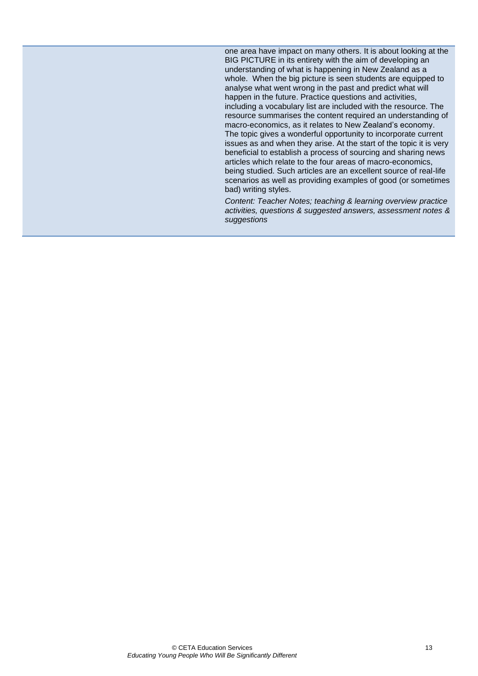one area have impact on many others. It is about looking at the BIG PICTURE in its entirety with the aim of developing an understanding of what is happening in New Zealand as a whole. When the big picture is seen students are equipped to analyse what went wrong in the past and predict what will happen in the future. Practice questions and activities, including a vocabulary list are included with the resource. The resource summarises the content required an understanding of macro-economics, as it relates to New Zealand's economy. The topic gives a wonderful opportunity to incorporate current issues as and when they arise. At the start of the topic it is very beneficial to establish a process of sourcing and sharing news articles which relate to the four areas of macro-economics, being studied. Such articles are an excellent source of real-life scenarios as well as providing examples of good (or sometimes bad) writing styles.

*Content: Teacher Notes; teaching & learning overview practice activities, questions & suggested answers, assessment notes & suggestions*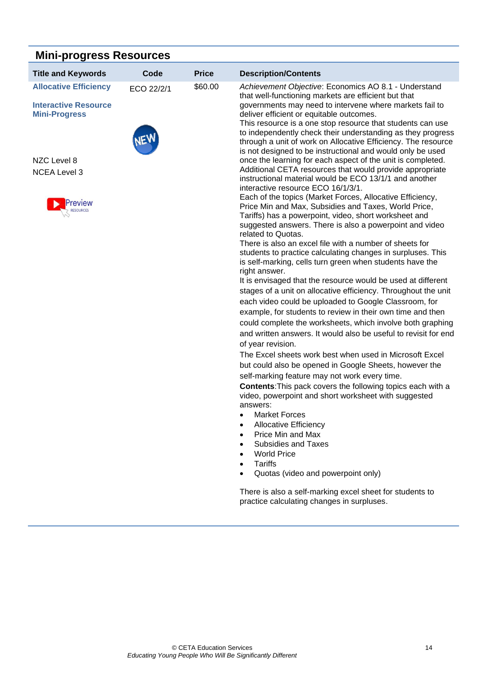| <b>Mini-progress Resources</b>                      |            |              |                                                                                                                                                                                                                                                                                                   |  |  |
|-----------------------------------------------------|------------|--------------|---------------------------------------------------------------------------------------------------------------------------------------------------------------------------------------------------------------------------------------------------------------------------------------------------|--|--|
| <b>Title and Keywords</b>                           | Code       | <b>Price</b> | <b>Description/Contents</b>                                                                                                                                                                                                                                                                       |  |  |
| <b>Allocative Efficiency</b>                        | ECO 22/2/1 | \$60.00      | Achievement Objective: Economics AO 8.1 - Understand<br>that well-functioning markets are efficient but that                                                                                                                                                                                      |  |  |
| <b>Interactive Resource</b><br><b>Mini-Progress</b> |            |              | governments may need to intervene where markets fail to<br>deliver efficient or equitable outcomes.<br>This resource is a one stop resource that students can use<br>to independently check their understanding as they progress<br>through a unit of work on Allocative Efficiency. The resource |  |  |
|                                                     |            |              | is not designed to be instructional and would only be used                                                                                                                                                                                                                                        |  |  |
| NZC Level 8                                         |            |              | once the learning for each aspect of the unit is completed.                                                                                                                                                                                                                                       |  |  |
| <b>NCEA Level 3</b>                                 |            |              | Additional CETA resources that would provide appropriate<br>instructional material would be ECO 13/1/1 and another<br>interactive resource ECO 16/1/3/1.                                                                                                                                          |  |  |
|                                                     |            |              | Each of the topics (Market Forces, Allocative Efficiency,<br>Price Min and Max, Subsidies and Taxes, World Price,                                                                                                                                                                                 |  |  |
|                                                     |            |              | Tariffs) has a powerpoint, video, short worksheet and<br>suggested answers. There is also a powerpoint and video                                                                                                                                                                                  |  |  |
|                                                     |            |              | related to Quotas.<br>There is also an excel file with a number of sheets for                                                                                                                                                                                                                     |  |  |
|                                                     |            |              | students to practice calculating changes in surpluses. This<br>is self-marking, cells turn green when students have the<br>right answer.                                                                                                                                                          |  |  |
|                                                     |            |              | It is envisaged that the resource would be used at different                                                                                                                                                                                                                                      |  |  |
|                                                     |            |              | stages of a unit on allocative efficiency. Throughout the unit                                                                                                                                                                                                                                    |  |  |
|                                                     |            |              | each video could be uploaded to Google Classroom, for                                                                                                                                                                                                                                             |  |  |
|                                                     |            |              | example, for students to review in their own time and then                                                                                                                                                                                                                                        |  |  |
|                                                     |            |              | could complete the worksheets, which involve both graphing                                                                                                                                                                                                                                        |  |  |
|                                                     |            |              | and written answers. It would also be useful to revisit for end                                                                                                                                                                                                                                   |  |  |
|                                                     |            |              | of year revision.                                                                                                                                                                                                                                                                                 |  |  |
|                                                     |            |              | The Excel sheets work best when used in Microsoft Excel                                                                                                                                                                                                                                           |  |  |
|                                                     |            |              | but could also be opened in Google Sheets, however the                                                                                                                                                                                                                                            |  |  |
|                                                     |            |              | self-marking feature may not work every time.                                                                                                                                                                                                                                                     |  |  |

**Contents**:This pack covers the following topics each with a video, powerpoint and short worksheet with suggested answers:

- Market Forces
- Allocative Efficiency
- Price Min and Max
- Subsidies and Taxes
- World Price
- Tariffs
- Quotas (video and powerpoint only)

There is also a self-marking excel sheet for students to practice calculating changes in surpluses.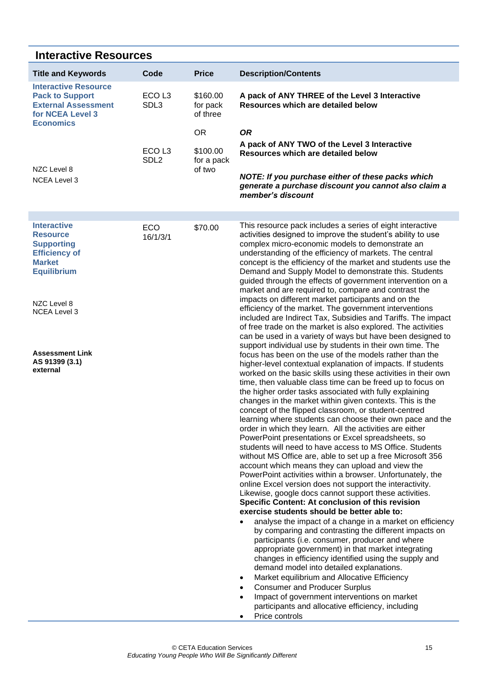### <span id="page-18-0"></span>**Interactive Resources**

<span id="page-18-2"></span><span id="page-18-1"></span>

| <b>Title and Keywords</b>                                                                                                                                       | Code                                           | <b>Price</b>                                              | <b>Description/Contents</b>                                                                                                                                                                                                                                                                                                                                                                                                                                                                                                                                                                                                                                                                                                                                                                                                                                                                                                                                                                                                                                                                                                                                                                                                                                                                                                                                                                                                                                                                                                                                                                                                       |
|-----------------------------------------------------------------------------------------------------------------------------------------------------------------|------------------------------------------------|-----------------------------------------------------------|-----------------------------------------------------------------------------------------------------------------------------------------------------------------------------------------------------------------------------------------------------------------------------------------------------------------------------------------------------------------------------------------------------------------------------------------------------------------------------------------------------------------------------------------------------------------------------------------------------------------------------------------------------------------------------------------------------------------------------------------------------------------------------------------------------------------------------------------------------------------------------------------------------------------------------------------------------------------------------------------------------------------------------------------------------------------------------------------------------------------------------------------------------------------------------------------------------------------------------------------------------------------------------------------------------------------------------------------------------------------------------------------------------------------------------------------------------------------------------------------------------------------------------------------------------------------------------------------------------------------------------------|
| <b>Interactive Resource</b><br><b>Pack to Support</b><br><b>External Assessment</b><br>for NCEA Level 3<br><b>Economics</b>                                     | ECO <sub>L3</sub><br>SDL3<br>ECO <sub>L3</sub> | \$160.00<br>for pack<br>of three<br><b>OR</b><br>\$100.00 | A pack of ANY THREE of the Level 3 Interactive<br>Resources which are detailed below<br><b>OR</b><br>A pack of ANY TWO of the Level 3 Interactive                                                                                                                                                                                                                                                                                                                                                                                                                                                                                                                                                                                                                                                                                                                                                                                                                                                                                                                                                                                                                                                                                                                                                                                                                                                                                                                                                                                                                                                                                 |
| NZC Level 8<br><b>NCEA Level 3</b>                                                                                                                              | SDL <sub>2</sub>                               | for a pack<br>of two                                      | Resources which are detailed below<br>NOTE: If you purchase either of these packs which<br>generate a purchase discount you cannot also claim a<br>member's discount                                                                                                                                                                                                                                                                                                                                                                                                                                                                                                                                                                                                                                                                                                                                                                                                                                                                                                                                                                                                                                                                                                                                                                                                                                                                                                                                                                                                                                                              |
|                                                                                                                                                                 |                                                |                                                           |                                                                                                                                                                                                                                                                                                                                                                                                                                                                                                                                                                                                                                                                                                                                                                                                                                                                                                                                                                                                                                                                                                                                                                                                                                                                                                                                                                                                                                                                                                                                                                                                                                   |
| <b>Interactive</b><br><b>Resource</b><br><b>Supporting</b><br><b>Efficiency of</b><br><b>Market</b><br><b>Equilibrium</b><br>NZC Level 8<br><b>NCEA Level 3</b> | <b>ECO</b><br>16/1/3/1                         | \$70.00                                                   | This resource pack includes a series of eight interactive<br>activities designed to improve the student's ability to use<br>complex micro-economic models to demonstrate an<br>understanding of the efficiency of markets. The central<br>concept is the efficiency of the market and students use the<br>Demand and Supply Model to demonstrate this. Students<br>guided through the effects of government intervention on a<br>market and are required to, compare and contrast the<br>impacts on different market participants and on the<br>efficiency of the market. The government interventions<br>included are Indirect Tax, Subsidies and Tariffs. The impact<br>of free trade on the market is also explored. The activities<br>can be used in a variety of ways but have been designed to                                                                                                                                                                                                                                                                                                                                                                                                                                                                                                                                                                                                                                                                                                                                                                                                                              |
| <b>Assessment Link</b><br>AS 91399 (3.1)<br>external                                                                                                            |                                                |                                                           | support individual use by students in their own time. The<br>focus has been on the use of the models rather than the<br>higher-level contextual explanation of impacts. If students<br>worked on the basic skills using these activities in their own<br>time, then valuable class time can be freed up to focus on<br>the higher order tasks associated with fully explaining<br>changes in the market within given contexts. This is the<br>concept of the flipped classroom, or student-centred<br>learning where students can choose their own pace and the<br>order in which they learn. All the activities are either<br>PowerPoint presentations or Excel spreadsheets, so<br>students will need to have access to MS Office. Students<br>without MS Office are, able to set up a free Microsoft 356<br>account which means they can upload and view the<br>PowerPoint activities within a browser. Unfortunately, the<br>online Excel version does not support the interactivity.<br>Likewise, google docs cannot support these activities.<br>Specific Content: At conclusion of this revision<br>exercise students should be better able to:<br>analyse the impact of a change in a market on efficiency<br>by comparing and contrasting the different impacts on<br>participants (i.e. consumer, producer and where<br>appropriate government) in that market integrating<br>changes in efficiency identified using the supply and<br>demand model into detailed explanations.<br>Market equilibrium and Allocative Efficiency<br><b>Consumer and Producer Surplus</b><br>Impact of government interventions on market |
|                                                                                                                                                                 |                                                |                                                           | participants and allocative efficiency, including<br>Price controls                                                                                                                                                                                                                                                                                                                                                                                                                                                                                                                                                                                                                                                                                                                                                                                                                                                                                                                                                                                                                                                                                                                                                                                                                                                                                                                                                                                                                                                                                                                                                               |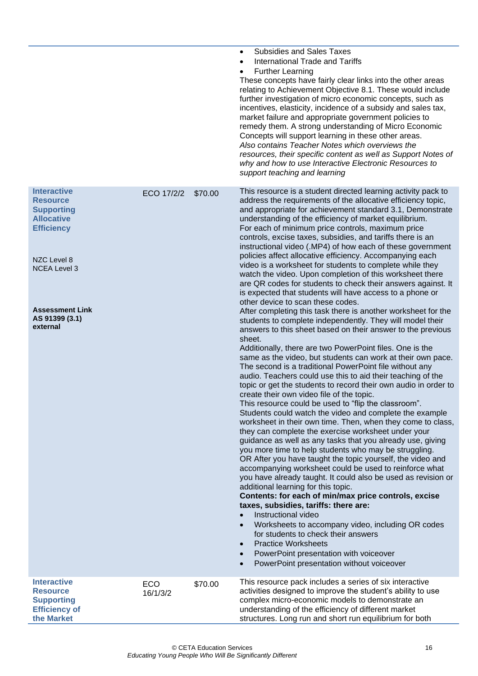|                                                                                                                                                                                                    |                 |         | <b>Subsidies and Sales Taxes</b><br>$\bullet$<br>International Trade and Tariffs<br>$\bullet$<br><b>Further Learning</b><br>These concepts have fairly clear links into the other areas<br>relating to Achievement Objective 8.1. These would include<br>further investigation of micro economic concepts, such as<br>incentives, elasticity, incidence of a subsidy and sales tax,<br>market failure and appropriate government policies to<br>remedy them. A strong understanding of Micro Economic<br>Concepts will support learning in these other areas.<br>Also contains Teacher Notes which overviews the<br>resources, their specific content as well as Support Notes of<br>why and how to use Interactive Electronic Resources to<br>support teaching and learning                                                                                                                                                                                                                                                                                                                                                                                                                                                                                                                                                                                                                                                                                                                                                                                                                                                                                                                                                                                                                                                                                                                                                                                                                                                                                                                                                                                                                                                                                                                                    |
|----------------------------------------------------------------------------------------------------------------------------------------------------------------------------------------------------|-----------------|---------|-----------------------------------------------------------------------------------------------------------------------------------------------------------------------------------------------------------------------------------------------------------------------------------------------------------------------------------------------------------------------------------------------------------------------------------------------------------------------------------------------------------------------------------------------------------------------------------------------------------------------------------------------------------------------------------------------------------------------------------------------------------------------------------------------------------------------------------------------------------------------------------------------------------------------------------------------------------------------------------------------------------------------------------------------------------------------------------------------------------------------------------------------------------------------------------------------------------------------------------------------------------------------------------------------------------------------------------------------------------------------------------------------------------------------------------------------------------------------------------------------------------------------------------------------------------------------------------------------------------------------------------------------------------------------------------------------------------------------------------------------------------------------------------------------------------------------------------------------------------------------------------------------------------------------------------------------------------------------------------------------------------------------------------------------------------------------------------------------------------------------------------------------------------------------------------------------------------------------------------------------------------------------------------------------------------------|
| <b>Interactive</b><br><b>Resource</b><br><b>Supporting</b><br><b>Allocative</b><br><b>Efficiency</b><br>NZC Level 8<br><b>NCEA Level 3</b><br><b>Assessment Link</b><br>AS 91399 (3.1)<br>external | ECO 17/2/2      | \$70.00 | This resource is a student directed learning activity pack to<br>address the requirements of the allocative efficiency topic,<br>and appropriate for achievement standard 3.1, Demonstrate<br>understanding of the efficiency of market equilibrium.<br>For each of minimum price controls, maximum price<br>controls, excise taxes, subsidies, and tariffs there is an<br>instructional video (.MP4) of how each of these government<br>policies affect allocative efficiency. Accompanying each<br>video is a worksheet for students to complete while they<br>watch the video. Upon completion of this worksheet there<br>are QR codes for students to check their answers against. It<br>is expected that students will have access to a phone or<br>other device to scan these codes.<br>After completing this task there is another worksheet for the<br>students to complete independently. They will model their<br>answers to this sheet based on their answer to the previous<br>sheet.<br>Additionally, there are two PowerPoint files. One is the<br>same as the video, but students can work at their own pace.<br>The second is a traditional PowerPoint file without any<br>audio. Teachers could use this to aid their teaching of the<br>topic or get the students to record their own audio in order to<br>create their own video file of the topic.<br>This resource could be used to "flip the classroom".<br>Students could watch the video and complete the example<br>worksheet in their own time. Then, when they come to class,<br>they can complete the exercise worksheet under your<br>guidance as well as any tasks that you already use, giving<br>you more time to help students who may be struggling.<br>OR After you have taught the topic yourself, the video and<br>accompanying worksheet could be used to reinforce what<br>you have already taught. It could also be used as revision or<br>additional learning for this topic.<br>Contents: for each of min/max price controls, excise<br>taxes, subsidies, tariffs: there are:<br>Instructional video<br>Worksheets to accompany video, including OR codes<br>for students to check their answers<br><b>Practice Worksheets</b><br>PowerPoint presentation with voiceover<br>PowerPoint presentation without voiceover |
| <b>Interactive</b><br><b>Resource</b><br><b>Supporting</b><br><b>Efficiency of</b><br>the Market                                                                                                   | ECO<br>16/1/3/2 | \$70.00 | This resource pack includes a series of six interactive<br>activities designed to improve the student's ability to use<br>complex micro-economic models to demonstrate an<br>understanding of the efficiency of different market<br>structures. Long run and short run equilibrium for both                                                                                                                                                                                                                                                                                                                                                                                                                                                                                                                                                                                                                                                                                                                                                                                                                                                                                                                                                                                                                                                                                                                                                                                                                                                                                                                                                                                                                                                                                                                                                                                                                                                                                                                                                                                                                                                                                                                                                                                                                     |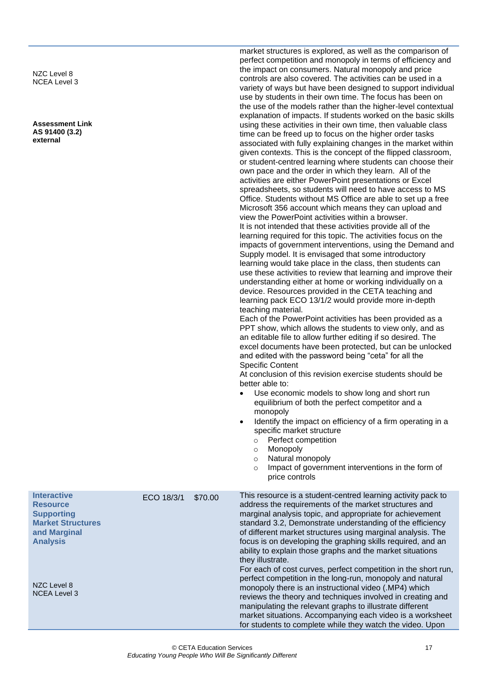NZC Level 8 NCEA Level 3

**Assessment Link AS 91400 (3.2) external**

market structures is explored, as well as the comparison of perfect competition and monopoly in terms of efficiency and the impact on consumers. Natural monopoly and price controls are also covered. The activities can be used in a variety of ways but have been designed to support individual use by students in their own time. The focus has been on the use of the models rather than the higher-level contextual explanation of impacts. If students worked on the basic skills using these activities in their own time, then valuable class time can be freed up to focus on the higher order tasks associated with fully explaining changes in the market within given contexts. This is the concept of the flipped classroom, or student-centred learning where students can choose their own pace and the order in which they learn. All of the activities are either PowerPoint presentations or Excel spreadsheets, so students will need to have access to MS Office. Students without MS Office are able to set up a free Microsoft 356 account which means they can upload and view the PowerPoint activities within a browser. It is not intended that these activities provide all of the learning required for this topic. The activities focus on the impacts of government interventions, using the Demand and Supply model. It is envisaged that some introductory learning would take place in the class, then students can use these activities to review that learning and improve their understanding either at home or working individually on a device. Resources provided in the CETA teaching and learning pack ECO 13/1/2 would provide more in-depth teaching material. Each of the PowerPoint activities has been provided as a

PPT show, which allows the students to view only, and as an editable file to allow further editing if so desired. The excel documents have been protected, but can be unlocked and edited with the password being "ceta" for all the Specific Content

At conclusion of this revision exercise students should be better able to:

- Use economic models to show long and short run equilibrium of both the perfect competitor and a monopoly
- Identify the impact on efficiency of a firm operating in a specific market structure
	- o Perfect competition
	- o Monopoly
	- o Natural monopoly
	- o Impact of government interventions in the form of price controls

| <b>Interactive</b><br><b>Resource</b><br><b>Supporting</b><br><b>Market Structures</b><br>and Marginal<br><b>Analysis</b> | ECO 18/3/1 | \$70.00 | This resource is a student-centred learning activity pack to<br>address the requirements of the market structures and<br>marginal analysis topic, and appropriate for achievement<br>standard 3.2, Demonstrate understanding of the efficiency<br>of different market structures using marginal analysis. The<br>focus is on developing the graphing skills required, and an<br>ability to explain those graphs and the market situations<br>they illustrate. |
|---------------------------------------------------------------------------------------------------------------------------|------------|---------|---------------------------------------------------------------------------------------------------------------------------------------------------------------------------------------------------------------------------------------------------------------------------------------------------------------------------------------------------------------------------------------------------------------------------------------------------------------|
| NZC Level 8<br><b>NCEA Level 3</b>                                                                                        |            |         | For each of cost curves, perfect competition in the short run,<br>perfect competition in the long-run, monopoly and natural<br>monopoly there is an instructional video (MP4) which<br>reviews the theory and techniques involved in creating and<br>manipulating the relevant graphs to illustrate different<br>market situations. Accompanying each video is a worksheet<br>for students to complete while they watch the video. Upon                       |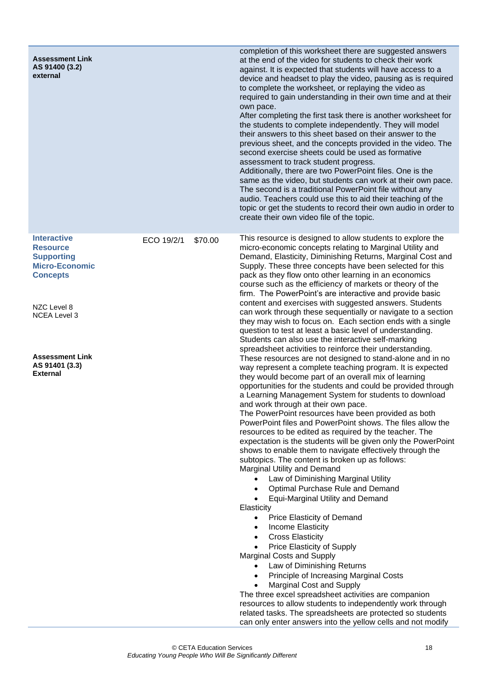| <b>Assessment Link</b><br>AS 91400 (3.2)<br>external                                                                                                                                                        |            |         | completion of this worksheet there are suggested answers<br>at the end of the video for students to check their work<br>against. It is expected that students will have access to a<br>device and headset to play the video, pausing as is required<br>to complete the worksheet, or replaying the video as<br>required to gain understanding in their own time and at their<br>own pace.<br>After completing the first task there is another worksheet for<br>the students to complete independently. They will model<br>their answers to this sheet based on their answer to the<br>previous sheet, and the concepts provided in the video. The<br>second exercise sheets could be used as formative<br>assessment to track student progress.<br>Additionally, there are two PowerPoint files. One is the<br>same as the video, but students can work at their own pace.<br>The second is a traditional PowerPoint file without any<br>audio. Teachers could use this to aid their teaching of the<br>topic or get the students to record their own audio in order to<br>create their own video file of the topic.                                                                                                                                                                                                                                                                                                                                                                                                                                                                                                                                                                                                                                                                                                                                                                                                                                                                                                                                                                                                                                                                                                                                                                          |
|-------------------------------------------------------------------------------------------------------------------------------------------------------------------------------------------------------------|------------|---------|-----------------------------------------------------------------------------------------------------------------------------------------------------------------------------------------------------------------------------------------------------------------------------------------------------------------------------------------------------------------------------------------------------------------------------------------------------------------------------------------------------------------------------------------------------------------------------------------------------------------------------------------------------------------------------------------------------------------------------------------------------------------------------------------------------------------------------------------------------------------------------------------------------------------------------------------------------------------------------------------------------------------------------------------------------------------------------------------------------------------------------------------------------------------------------------------------------------------------------------------------------------------------------------------------------------------------------------------------------------------------------------------------------------------------------------------------------------------------------------------------------------------------------------------------------------------------------------------------------------------------------------------------------------------------------------------------------------------------------------------------------------------------------------------------------------------------------------------------------------------------------------------------------------------------------------------------------------------------------------------------------------------------------------------------------------------------------------------------------------------------------------------------------------------------------------------------------------------------------------------------------------------------------------------------|
| <b>Interactive</b><br><b>Resource</b><br><b>Supporting</b><br><b>Micro-Economic</b><br><b>Concepts</b><br>NZC Level 8<br><b>NCEA Level 3</b><br><b>Assessment Link</b><br>AS 91401 (3.3)<br><b>External</b> | ECO 19/2/1 | \$70.00 | This resource is designed to allow students to explore the<br>micro-economic concepts relating to Marginal Utility and<br>Demand, Elasticity, Diminishing Returns, Marginal Cost and<br>Supply. These three concepts have been selected for this<br>pack as they flow onto other learning in an economics<br>course such as the efficiency of markets or theory of the<br>firm. The PowerPoint's are interactive and provide basic<br>content and exercises with suggested answers. Students<br>can work through these sequentially or navigate to a section<br>they may wish to focus on. Each section ends with a single<br>question to test at least a basic level of understanding.<br>Students can also use the interactive self-marking<br>spreadsheet activities to reinforce their understanding.<br>These resources are not designed to stand-alone and in no<br>way represent a complete teaching program. It is expected<br>they would become part of an overall mix of learning<br>opportunities for the students and could be provided through<br>a Learning Management System for students to download<br>and work through at their own pace.<br>The PowerPoint resources have been provided as both<br>PowerPoint files and PowerPoint shows. The files allow the<br>resources to be edited as required by the teacher. The<br>expectation is the students will be given only the PowerPoint<br>shows to enable them to navigate effectively through the<br>subtopics. The content is broken up as follows:<br>Marginal Utility and Demand<br>Law of Diminishing Marginal Utility<br>Optimal Purchase Rule and Demand<br>$\bullet$<br><b>Equi-Marginal Utility and Demand</b><br>$\bullet$<br>Elasticity<br>Price Elasticity of Demand<br>$\bullet$<br>Income Elasticity<br>$\bullet$<br><b>Cross Elasticity</b><br>$\bullet$<br>Price Elasticity of Supply<br>Marginal Costs and Supply<br>Law of Diminishing Returns<br>$\bullet$<br>Principle of Increasing Marginal Costs<br>$\bullet$<br><b>Marginal Cost and Supply</b><br>The three excel spreadsheet activities are companion<br>resources to allow students to independently work through<br>related tasks. The spreadsheets are protected so students<br>can only enter answers into the yellow cells and not modify |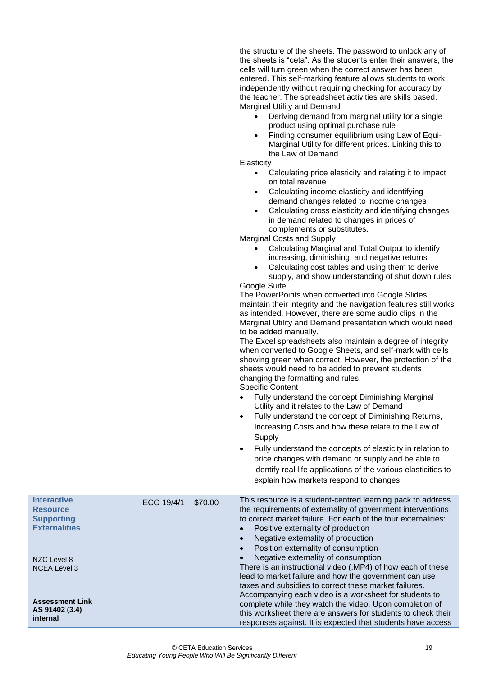the structure of the sheets. The password to unlock any of the sheets is "ceta". As the students enter their answers, the cells will turn green when the correct answer has been entered. This self-marking feature allows students to work independently without requiring checking for accuracy by the teacher. The spreadsheet activities are skills based. Marginal Utility and Demand

- Deriving demand from marginal utility for a single product using optimal purchase rule
- Finding consumer equilibrium using Law of Equi-Marginal Utility for different prices. Linking this to the Law of Demand

#### **Elasticity**

- Calculating price elasticity and relating it to impact on total revenue
- Calculating income elasticity and identifying demand changes related to income changes
- Calculating cross elasticity and identifying changes in demand related to changes in prices of complements or substitutes.

Marginal Costs and Supply

- Calculating Marginal and Total Output to identify increasing, diminishing, and negative returns
- Calculating cost tables and using them to derive supply, and show understanding of shut down rules Google Suite

The PowerPoints when converted into Google Slides maintain their integrity and the navigation features still works as intended. However, there are some audio clips in the Marginal Utility and Demand presentation which would need to be added manually.

The Excel spreadsheets also maintain a degree of integrity when converted to Google Sheets, and self-mark with cells showing green when correct. However, the protection of the sheets would need to be added to prevent students changing the formatting and rules. Specific Content

- Fully understand the concept Diminishing Marginal
- Utility and it relates to the Law of Demand
- Fully understand the concept of Diminishing Returns, Increasing Costs and how these relate to the Law of **Supply**
- Fully understand the concepts of elasticity in relation to price changes with demand or supply and be able to identify real life applications of the various elasticities to explain how markets respond to changes.

| <b>Interactive</b><br><b>Resource</b><br><b>Supporting</b><br><b>Externalities</b> | ECO 19/4/1 | \$70.00 | This resource is a student-centred learning pack to address<br>the requirements of externality of government interventions<br>to correct market failure. For each of the four externalities:<br>Positive externality of production<br>Negative externality of production<br>Position externality of consumption<br>$\bullet$ |
|------------------------------------------------------------------------------------|------------|---------|------------------------------------------------------------------------------------------------------------------------------------------------------------------------------------------------------------------------------------------------------------------------------------------------------------------------------|
| NZC Level 8                                                                        |            |         | Negative externality of consumption                                                                                                                                                                                                                                                                                          |
| <b>NCEA Level 3</b>                                                                |            |         | There is an instructional video (MP4) of how each of these<br>lead to market failure and how the government can use<br>taxes and subsidies to correct these market failures.<br>Accompanying each video is a worksheet for students to                                                                                       |
| <b>Assessment Link</b><br>AS 91402 (3.4)<br>internal                               |            |         | complete while they watch the video. Upon completion of<br>this worksheet there are answers for students to check their<br>responses against. It is expected that students have access                                                                                                                                       |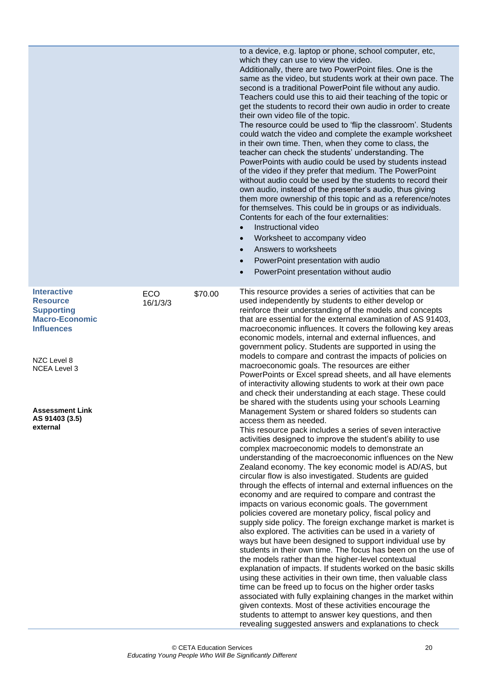|                                                                                                                                                                                                        |                 |         | to a device, e.g. laptop or phone, school computer, etc,<br>which they can use to view the video.<br>Additionally, there are two PowerPoint files. One is the<br>same as the video, but students work at their own pace. The<br>second is a traditional PowerPoint file without any audio.<br>Teachers could use this to aid their teaching of the topic or<br>get the students to record their own audio in order to create<br>their own video file of the topic.<br>The resource could be used to 'flip the classroom'. Students<br>could watch the video and complete the example worksheet<br>in their own time. Then, when they come to class, the<br>teacher can check the students' understanding. The<br>PowerPoints with audio could be used by students instead<br>of the video if they prefer that medium. The PowerPoint<br>without audio could be used by the students to record their<br>own audio, instead of the presenter's audio, thus giving<br>them more ownership of this topic and as a reference/notes<br>for themselves. This could be in groups or as individuals.<br>Contents for each of the four externalities:<br>Instructional video<br>Worksheet to accompany video<br>$\bullet$<br>Answers to worksheets<br>$\bullet$<br>PowerPoint presentation with audio<br>PowerPoint presentation without audio<br>$\bullet$                                                                                                                                                                                                                                                                                                                                                                                                                                                                                                                                                                                                                                                                                                                                                                                                                                                                                                    |
|--------------------------------------------------------------------------------------------------------------------------------------------------------------------------------------------------------|-----------------|---------|------------------------------------------------------------------------------------------------------------------------------------------------------------------------------------------------------------------------------------------------------------------------------------------------------------------------------------------------------------------------------------------------------------------------------------------------------------------------------------------------------------------------------------------------------------------------------------------------------------------------------------------------------------------------------------------------------------------------------------------------------------------------------------------------------------------------------------------------------------------------------------------------------------------------------------------------------------------------------------------------------------------------------------------------------------------------------------------------------------------------------------------------------------------------------------------------------------------------------------------------------------------------------------------------------------------------------------------------------------------------------------------------------------------------------------------------------------------------------------------------------------------------------------------------------------------------------------------------------------------------------------------------------------------------------------------------------------------------------------------------------------------------------------------------------------------------------------------------------------------------------------------------------------------------------------------------------------------------------------------------------------------------------------------------------------------------------------------------------------------------------------------------------------------------------------------------------------------------------------------------------|
| <b>Interactive</b><br><b>Resource</b><br><b>Supporting</b><br><b>Macro-Economic</b><br><b>Influences</b><br>NZC Level 8<br><b>NCEA Level 3</b><br><b>Assessment Link</b><br>AS 91403 (3.5)<br>external | ECO<br>16/1/3/3 | \$70.00 | This resource provides a series of activities that can be<br>used independently by students to either develop or<br>reinforce their understanding of the models and concepts<br>that are essential for the external examination of AS 91403,<br>macroeconomic influences. It covers the following key areas<br>economic models, internal and external influences, and<br>government policy. Students are supported in using the<br>models to compare and contrast the impacts of policies on<br>macroeconomic goals. The resources are either<br>PowerPoints or Excel spread sheets, and all have elements<br>of interactivity allowing students to work at their own pace<br>and check their understanding at each stage. These could<br>be shared with the students using your schools Learning<br>Management System or shared folders so students can<br>access them as needed.<br>This resource pack includes a series of seven interactive<br>activities designed to improve the student's ability to use<br>complex macroeconomic models to demonstrate an<br>understanding of the macroeconomic influences on the New<br>Zealand economy. The key economic model is AD/AS, but<br>circular flow is also investigated. Students are guided<br>through the effects of internal and external influences on the<br>economy and are required to compare and contrast the<br>impacts on various economic goals. The government<br>policies covered are monetary policy, fiscal policy and<br>supply side policy. The foreign exchange market is market is<br>also explored. The activities can be used in a variety of<br>ways but have been designed to support individual use by<br>students in their own time. The focus has been on the use of<br>the models rather than the higher-level contextual<br>explanation of impacts. If students worked on the basic skills<br>using these activities in their own time, then valuable class<br>time can be freed up to focus on the higher order tasks<br>associated with fully explaining changes in the market within<br>given contexts. Most of these activities encourage the<br>students to attempt to answer key questions, and then<br>revealing suggested answers and explanations to check |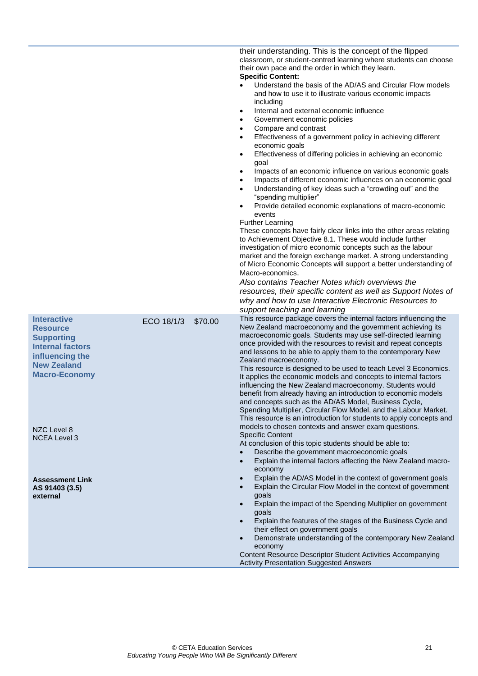<span id="page-24-0"></span>

|                                                                                                                                                        |            |         | their understanding. This is the concept of the flipped<br>classroom, or student-centred learning where students can choose<br>their own pace and the order in which they learn.<br><b>Specific Content:</b><br>Understand the basis of the AD/AS and Circular Flow models<br>and how to use it to illustrate various economic impacts<br>including<br>Internal and external economic influence<br>٠<br>Government economic policies<br>٠<br>Compare and contrast<br>٠<br>Effectiveness of a government policy in achieving different<br>$\bullet$<br>economic goals<br>Effectiveness of differing policies in achieving an economic<br>٠<br>goal<br>Impacts of an economic influence on various economic goals<br>٠<br>Impacts of different economic influences on an economic goal<br>٠<br>Understanding of key ideas such a "crowding out" and the<br>٠<br>"spending multiplier"<br>Provide detailed economic explanations of macro-economic<br>٠<br>events<br><b>Further Learning</b><br>These concepts have fairly clear links into the other areas relating<br>to Achievement Objective 8.1. These would include further<br>investigation of micro economic concepts such as the labour<br>market and the foreign exchange market. A strong understanding<br>of Micro Economic Concepts will support a better understanding of<br>Macro-economics.<br>Also contains Teacher Notes which overviews the<br>resources, their specific content as well as Support Notes of<br>why and how to use Interactive Electronic Resources to<br>support teaching and learning |
|--------------------------------------------------------------------------------------------------------------------------------------------------------|------------|---------|-------------------------------------------------------------------------------------------------------------------------------------------------------------------------------------------------------------------------------------------------------------------------------------------------------------------------------------------------------------------------------------------------------------------------------------------------------------------------------------------------------------------------------------------------------------------------------------------------------------------------------------------------------------------------------------------------------------------------------------------------------------------------------------------------------------------------------------------------------------------------------------------------------------------------------------------------------------------------------------------------------------------------------------------------------------------------------------------------------------------------------------------------------------------------------------------------------------------------------------------------------------------------------------------------------------------------------------------------------------------------------------------------------------------------------------------------------------------------------------------------------------------------------------------------------------------------|
| <b>Interactive</b><br><b>Resource</b><br><b>Supporting</b><br><b>Internal factors</b><br>influencing the<br><b>New Zealand</b><br><b>Macro-Economy</b> | ECO 18/1/3 | \$70.00 | This resource package covers the internal factors influencing the<br>New Zealand macroeconomy and the government achieving its<br>macroeconomic goals. Students may use self-directed learning<br>once provided with the resources to revisit and repeat concepts<br>and lessons to be able to apply them to the contemporary New<br>Zealand macroeconomy.<br>This resource is designed to be used to teach Level 3 Economics.<br>It applies the economic models and concepts to internal factors<br>influencing the New Zealand macroeconomy. Students would<br>benefit from already having an introduction to economic models<br>and concepts such as the AD/AS Model, Business Cycle,<br>Spending Multiplier, Circular Flow Model, and the Labour Market.<br>This resource is an introduction for students to apply concepts and                                                                                                                                                                                                                                                                                                                                                                                                                                                                                                                                                                                                                                                                                                                                     |
| NZC Level 8<br><b>NCEA Level 3</b>                                                                                                                     |            |         | models to chosen contexts and answer exam questions.<br><b>Specific Content</b><br>At conclusion of this topic students should be able to:<br>Describe the government macroeconomic goals<br>$\bullet$<br>Explain the internal factors affecting the New Zealand macro-<br>$\bullet$<br>economy                                                                                                                                                                                                                                                                                                                                                                                                                                                                                                                                                                                                                                                                                                                                                                                                                                                                                                                                                                                                                                                                                                                                                                                                                                                                         |
| <b>Assessment Link</b><br>AS 91403 (3.5)<br>external                                                                                                   |            |         | Explain the AD/AS Model in the context of government goals<br>$\bullet$<br>Explain the Circular Flow Model in the context of government<br>goals<br>Explain the impact of the Spending Multiplier on government<br>$\bullet$<br>goals<br>Explain the features of the stages of the Business Cycle and<br>$\bullet$<br>their effect on government goals<br>Demonstrate understanding of the contemporary New Zealand<br>$\bullet$<br>economy<br>Content Resource Descriptor Student Activities Accompanying<br><b>Activity Presentation Suggested Answers</b>                                                                                                                                                                                                                                                                                                                                                                                                                                                                                                                                                                                                                                                                                                                                                                                                                                                                                                                                                                                                            |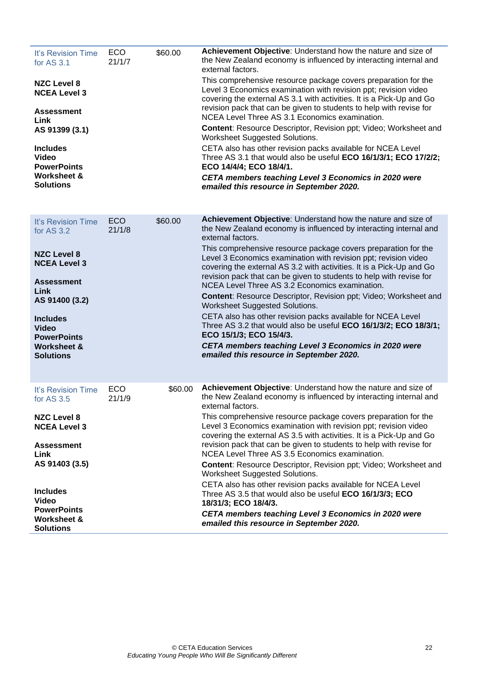| It's Revision Time<br>for AS 3.1<br><b>NZC Level 8</b><br><b>NCEA Level 3</b><br>Assessment<br>Link<br>AS 91399 (3.1)<br><b>Includes</b><br><b>Video</b><br><b>PowerPoints</b><br><b>Worksheet &amp;</b><br><b>Solutions</b>        | <b>ECO</b><br>21/1/7 | \$60.00 | Achievement Objective: Understand how the nature and size of<br>the New Zealand economy is influenced by interacting internal and<br>external factors.<br>This comprehensive resource package covers preparation for the<br>Level 3 Economics examination with revision ppt; revision video<br>covering the external AS 3.1 with activities. It is a Pick-Up and Go<br>revision pack that can be given to students to help with revise for<br>NCEA Level Three AS 3.1 Economics examination.<br>Content: Resource Descriptor, Revision ppt; Video; Worksheet and<br>Worksheet Suggested Solutions.<br>CETA also has other revision packs available for NCEA Level<br>Three AS 3.1 that would also be useful ECO 16/1/3/1; ECO 17/2/2;<br>ECO 14/4/4; ECO 18/4/1.<br>CETA members teaching Level 3 Economics in 2020 were<br>emailed this resource in September 2020. |
|-------------------------------------------------------------------------------------------------------------------------------------------------------------------------------------------------------------------------------------|----------------------|---------|----------------------------------------------------------------------------------------------------------------------------------------------------------------------------------------------------------------------------------------------------------------------------------------------------------------------------------------------------------------------------------------------------------------------------------------------------------------------------------------------------------------------------------------------------------------------------------------------------------------------------------------------------------------------------------------------------------------------------------------------------------------------------------------------------------------------------------------------------------------------|
| It's Revision Time<br>for AS 3.2<br><b>NZC Level 8</b><br><b>NCEA Level 3</b><br><b>Assessment</b><br>Link<br>AS 91400 (3.2)<br><b>Includes</b><br><b>Video</b><br><b>PowerPoints</b><br><b>Worksheet &amp;</b><br><b>Solutions</b> | <b>ECO</b><br>21/1/8 | \$60.00 | Achievement Objective: Understand how the nature and size of<br>the New Zealand economy is influenced by interacting internal and<br>external factors.<br>This comprehensive resource package covers preparation for the<br>Level 3 Economics examination with revision ppt; revision video<br>covering the external AS 3.2 with activities. It is a Pick-Up and Go<br>revision pack that can be given to students to help with revise for<br>NCEA Level Three AS 3.2 Economics examination.<br>Content: Resource Descriptor, Revision ppt; Video; Worksheet and<br>Worksheet Suggested Solutions.<br>CETA also has other revision packs available for NCEA Level<br>Three AS 3.2 that would also be useful ECO 16/1/3/2; ECO 18/3/1;<br>ECO 15/1/3; ECO 15/4/3.<br>CETA members teaching Level 3 Economics in 2020 were<br>emailed this resource in September 2020. |
| It's Revision Time<br>for AS 3.5<br><b>NZC Level 8</b><br><b>NCEA Level 3</b><br><b>Assessment</b><br>Link<br>AS 91403 (3.5)<br><b>Includes</b><br><b>Video</b><br><b>PowerPoints</b><br><b>Worksheet &amp;</b><br><b>Solutions</b> | ECO<br>21/1/9        | \$60.00 | Achievement Objective: Understand how the nature and size of<br>the New Zealand economy is influenced by interacting internal and<br>external factors.<br>This comprehensive resource package covers preparation for the<br>Level 3 Economics examination with revision ppt; revision video<br>covering the external AS 3.5 with activities. It is a Pick-Up and Go<br>revision pack that can be given to students to help with revise for<br>NCEA Level Three AS 3.5 Economics examination.<br>Content: Resource Descriptor, Revision ppt; Video; Worksheet and<br>Worksheet Suggested Solutions.<br>CETA also has other revision packs available for NCEA Level<br>Three AS 3.5 that would also be useful ECO 16/1/3/3; ECO<br>18/31/3; ECO 18/4/3.<br>CETA members teaching Level 3 Economics in 2020 were<br>emailed this resource in September 2020.            |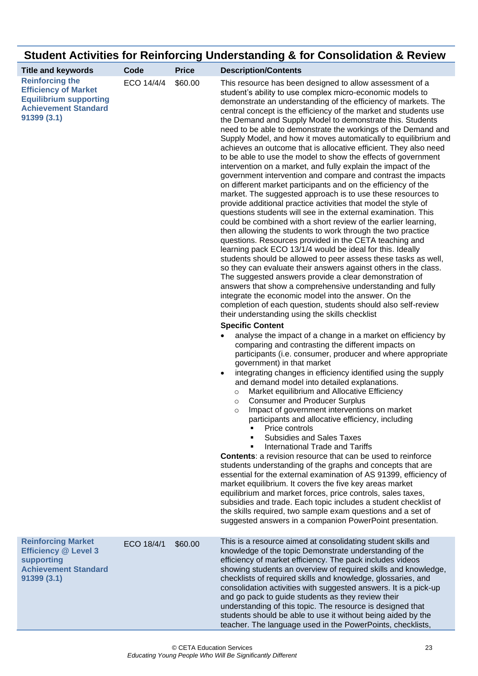|                                                                                                                                     |            |              | Student Activities for Reinforcing Understanding & for Consolidation & Review                                                                                                                                                                                                                                                                                                                                                                                                                                                                                                                                                                                                                                                                                                                                                                                                                                                                                                                                                                                                                                                                                                                                                                                                                                                                                                                                                                                                                                                                                                                                                                                                                                                                                                                                                                                                                                                                                                                                                                                                                                                                                                                                                                                                                                                                                                                                                                                                                                                                                                                                                                                                                                                                                                                                                                                                                                              |
|-------------------------------------------------------------------------------------------------------------------------------------|------------|--------------|----------------------------------------------------------------------------------------------------------------------------------------------------------------------------------------------------------------------------------------------------------------------------------------------------------------------------------------------------------------------------------------------------------------------------------------------------------------------------------------------------------------------------------------------------------------------------------------------------------------------------------------------------------------------------------------------------------------------------------------------------------------------------------------------------------------------------------------------------------------------------------------------------------------------------------------------------------------------------------------------------------------------------------------------------------------------------------------------------------------------------------------------------------------------------------------------------------------------------------------------------------------------------------------------------------------------------------------------------------------------------------------------------------------------------------------------------------------------------------------------------------------------------------------------------------------------------------------------------------------------------------------------------------------------------------------------------------------------------------------------------------------------------------------------------------------------------------------------------------------------------------------------------------------------------------------------------------------------------------------------------------------------------------------------------------------------------------------------------------------------------------------------------------------------------------------------------------------------------------------------------------------------------------------------------------------------------------------------------------------------------------------------------------------------------------------------------------------------------------------------------------------------------------------------------------------------------------------------------------------------------------------------------------------------------------------------------------------------------------------------------------------------------------------------------------------------------------------------------------------------------------------------------------------------------|
| <b>Title and keywords</b>                                                                                                           | Code       | <b>Price</b> | <b>Description/Contents</b>                                                                                                                                                                                                                                                                                                                                                                                                                                                                                                                                                                                                                                                                                                                                                                                                                                                                                                                                                                                                                                                                                                                                                                                                                                                                                                                                                                                                                                                                                                                                                                                                                                                                                                                                                                                                                                                                                                                                                                                                                                                                                                                                                                                                                                                                                                                                                                                                                                                                                                                                                                                                                                                                                                                                                                                                                                                                                                |
| <b>Reinforcing the</b><br><b>Efficiency of Market</b><br><b>Equilibrium supporting</b><br><b>Achievement Standard</b><br>91399(3.1) | ECO 14/4/4 | \$60.00      | This resource has been designed to allow assessment of a<br>student's ability to use complex micro-economic models to<br>demonstrate an understanding of the efficiency of markets. The<br>central concept is the efficiency of the market and students use<br>the Demand and Supply Model to demonstrate this. Students<br>need to be able to demonstrate the workings of the Demand and<br>Supply Model, and how it moves automatically to equilibrium and<br>achieves an outcome that is allocative efficient. They also need<br>to be able to use the model to show the effects of government<br>intervention on a market, and fully explain the impact of the<br>government intervention and compare and contrast the impacts<br>on different market participants and on the efficiency of the<br>market. The suggested approach is to use these resources to<br>provide additional practice activities that model the style of<br>questions students will see in the external examination. This<br>could be combined with a short review of the earlier learning,<br>then allowing the students to work through the two practice<br>questions. Resources provided in the CETA teaching and<br>learning pack ECO 13/1/4 would be ideal for this. Ideally<br>students should be allowed to peer assess these tasks as well,<br>so they can evaluate their answers against others in the class.<br>The suggested answers provide a clear demonstration of<br>answers that show a comprehensive understanding and fully<br>integrate the economic model into the answer. On the<br>completion of each question, students should also self-review<br>their understanding using the skills checklist<br><b>Specific Content</b><br>analyse the impact of a change in a market on efficiency by<br>comparing and contrasting the different impacts on<br>participants (i.e. consumer, producer and where appropriate<br>government) in that market<br>integrating changes in efficiency identified using the supply<br>and demand model into detailed explanations.<br>Market equilibrium and Allocative Efficiency<br>$\circ$<br><b>Consumer and Producer Surplus</b><br>$\circ$<br>Impact of government interventions on market<br>$\cap$<br>participants and allocative efficiency, including<br>Price controls<br><b>Subsidies and Sales Taxes</b><br>International Trade and Tariffs<br><b>Contents:</b> a revision resource that can be used to reinforce<br>students understanding of the graphs and concepts that are<br>essential for the external examination of AS 91399, efficiency of<br>market equilibrium. It covers the five key areas market<br>equilibrium and market forces, price controls, sales taxes,<br>subsidies and trade. Each topic includes a student checklist of<br>the skills required, two sample exam questions and a set of<br>suggested answers in a companion PowerPoint presentation. |
| <b>Reinforcing Market</b><br><b>Efficiency @ Level 3</b><br>supporting<br><b>Achievement Standard</b><br>91399(3.1)                 | ECO 18/4/1 | \$60.00      | This is a resource aimed at consolidating student skills and<br>knowledge of the topic Demonstrate understanding of the<br>efficiency of market efficiency. The pack includes videos<br>showing students an overview of required skills and knowledge,<br>checklists of required skills and knowledge, glossaries, and<br>consolidation activities with suggested answers. It is a pick-up<br>and go pack to guide students as they review their<br>understanding of this topic. The resource is designed that<br>students should be able to use it without being aided by the<br>teacher. The language used in the PowerPoints, checklists,                                                                                                                                                                                                                                                                                                                                                                                                                                                                                                                                                                                                                                                                                                                                                                                                                                                                                                                                                                                                                                                                                                                                                                                                                                                                                                                                                                                                                                                                                                                                                                                                                                                                                                                                                                                                                                                                                                                                                                                                                                                                                                                                                                                                                                                                               |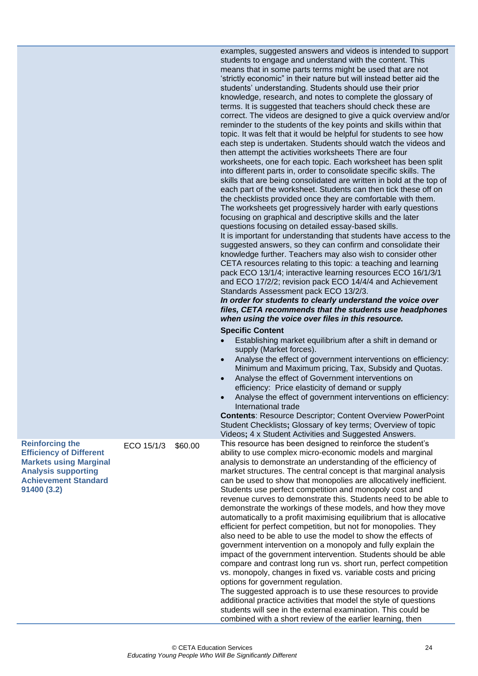|                                                                                                                                                                       |            |         | examples, suggested answers and videos is intended to support<br>students to engage and understand with the content. This<br>means that in some parts terms might be used that are not<br>'strictly economic" in their nature but will instead better aid the<br>students' understanding. Students should use their prior<br>knowledge, research, and notes to complete the glossary of<br>terms. It is suggested that teachers should check these are<br>correct. The videos are designed to give a quick overview and/or<br>reminder to the students of the key points and skills within that<br>topic. It was felt that it would be helpful for students to see how<br>each step is undertaken. Students should watch the videos and<br>then attempt the activities worksheets There are four<br>worksheets, one for each topic. Each worksheet has been split<br>into different parts in, order to consolidate specific skills. The<br>skills that are being consolidated are written in bold at the top of<br>each part of the worksheet. Students can then tick these off on<br>the checklists provided once they are comfortable with them.<br>The worksheets get progressively harder with early questions<br>focusing on graphical and descriptive skills and the later<br>questions focusing on detailed essay-based skills.<br>It is important for understanding that students have access to the<br>suggested answers, so they can confirm and consolidate their<br>knowledge further. Teachers may also wish to consider other<br>CETA resources relating to this topic: a teaching and learning<br>pack ECO 13/1/4; interactive learning resources ECO 16/1/3/1<br>and ECO 17/2/2; revision pack ECO 14/4/4 and Achievement<br>Standards Assessment pack ECO 13/2/3.<br>In order for students to clearly understand the voice over<br>files, CETA recommends that the students use headphones<br>when using the voice over files in this resource.<br><b>Specific Content</b> |
|-----------------------------------------------------------------------------------------------------------------------------------------------------------------------|------------|---------|---------------------------------------------------------------------------------------------------------------------------------------------------------------------------------------------------------------------------------------------------------------------------------------------------------------------------------------------------------------------------------------------------------------------------------------------------------------------------------------------------------------------------------------------------------------------------------------------------------------------------------------------------------------------------------------------------------------------------------------------------------------------------------------------------------------------------------------------------------------------------------------------------------------------------------------------------------------------------------------------------------------------------------------------------------------------------------------------------------------------------------------------------------------------------------------------------------------------------------------------------------------------------------------------------------------------------------------------------------------------------------------------------------------------------------------------------------------------------------------------------------------------------------------------------------------------------------------------------------------------------------------------------------------------------------------------------------------------------------------------------------------------------------------------------------------------------------------------------------------------------------------------------------------------------------------------------------------------------------------------|
|                                                                                                                                                                       |            |         | Establishing market equilibrium after a shift in demand or<br>supply (Market forces).<br>Analyse the effect of government interventions on efficiency:<br>Minimum and Maximum pricing, Tax, Subsidy and Quotas.<br>Analyse the effect of Government interventions on<br>efficiency: Price elasticity of demand or supply<br>Analyse the effect of government interventions on efficiency:                                                                                                                                                                                                                                                                                                                                                                                                                                                                                                                                                                                                                                                                                                                                                                                                                                                                                                                                                                                                                                                                                                                                                                                                                                                                                                                                                                                                                                                                                                                                                                                                   |
|                                                                                                                                                                       |            |         | International trade<br><b>Contents: Resource Descriptor; Content Overview PowerPoint</b><br>Student Checklists; Glossary of key terms; Overview of topic<br>Videos; 4 x Student Activities and Suggested Answers.                                                                                                                                                                                                                                                                                                                                                                                                                                                                                                                                                                                                                                                                                                                                                                                                                                                                                                                                                                                                                                                                                                                                                                                                                                                                                                                                                                                                                                                                                                                                                                                                                                                                                                                                                                           |
| <b>Reinforcing the</b><br><b>Efficiency of Different</b><br><b>Markets using Marginal</b><br><b>Analysis supporting</b><br><b>Achievement Standard</b><br>91400 (3.2) | ECO 15/1/3 | \$60.00 | This resource has been designed to reinforce the student's<br>ability to use complex micro-economic models and marginal<br>analysis to demonstrate an understanding of the efficiency of<br>market structures. The central concept is that marginal analysis<br>can be used to show that monopolies are allocatively inefficient.<br>Students use perfect competition and monopoly cost and<br>revenue curves to demonstrate this. Students need to be able to<br>demonstrate the workings of these models, and how they move<br>automatically to a profit maximising equilibrium that is allocative<br>efficient for perfect competition, but not for monopolies. They<br>also need to be able to use the model to show the effects of<br>government intervention on a monopoly and fully explain the<br>impact of the government intervention. Students should be able<br>compare and contrast long run vs. short run, perfect competition<br>vs. monopoly, changes in fixed vs. variable costs and pricing<br>options for government regulation.<br>The suggested approach is to use these resources to provide<br>additional practice activities that model the style of questions<br>students will see in the external examination. This could be<br>combined with a short review of the earlier learning, then                                                                                                                                                                                                                                                                                                                                                                                                                                                                                                                                                                                                                                                                        |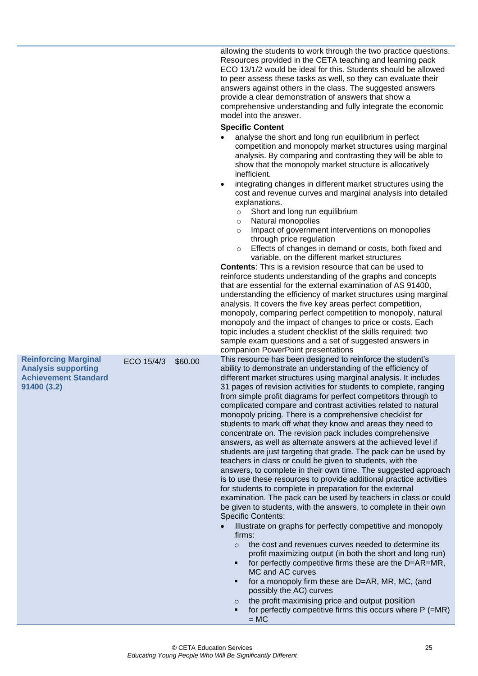|                                                                                                         |            |         | allowing the students to work through the two practice questions.<br>Resources provided in the CETA teaching and learning pack<br>ECO 13/1/2 would be ideal for this. Students should be allowed<br>to peer assess these tasks as well, so they can evaluate their<br>answers against others in the class. The suggested answers<br>provide a clear demonstration of answers that show a<br>comprehensive understanding and fully integrate the economic<br>model into the answer.<br><b>Specific Content</b><br>analyse the short and long run equilibrium in perfect<br>competition and monopoly market structures using marginal<br>analysis. By comparing and contrasting they will be able to<br>show that the monopoly market structure is allocatively<br>inefficient.<br>integrating changes in different market structures using the<br>cost and revenue curves and marginal analysis into detailed<br>explanations.<br>Short and long run equilibrium<br>$\circ$<br>Natural monopolies<br>$\circ$<br>Impact of government interventions on monopolies<br>$\circ$<br>through price regulation<br>Effects of changes in demand or costs, both fixed and<br>$\circ$<br>variable, on the different market structures                                                                                                                                                                                                                                                                                                                                                                                                                                                                         |
|---------------------------------------------------------------------------------------------------------|------------|---------|----------------------------------------------------------------------------------------------------------------------------------------------------------------------------------------------------------------------------------------------------------------------------------------------------------------------------------------------------------------------------------------------------------------------------------------------------------------------------------------------------------------------------------------------------------------------------------------------------------------------------------------------------------------------------------------------------------------------------------------------------------------------------------------------------------------------------------------------------------------------------------------------------------------------------------------------------------------------------------------------------------------------------------------------------------------------------------------------------------------------------------------------------------------------------------------------------------------------------------------------------------------------------------------------------------------------------------------------------------------------------------------------------------------------------------------------------------------------------------------------------------------------------------------------------------------------------------------------------------------------------------------------------------------------------------------------------|
|                                                                                                         |            |         | <b>Contents:</b> This is a revision resource that can be used to<br>reinforce students understanding of the graphs and concepts<br>that are essential for the external examination of AS 91400,<br>understanding the efficiency of market structures using marginal<br>analysis. It covers the five key areas perfect competition,<br>monopoly, comparing perfect competition to monopoly, natural<br>monopoly and the impact of changes to price or costs. Each<br>topic includes a student checklist of the skills required; two<br>sample exam questions and a set of suggested answers in<br>companion PowerPoint presentations                                                                                                                                                                                                                                                                                                                                                                                                                                                                                                                                                                                                                                                                                                                                                                                                                                                                                                                                                                                                                                                                |
| <b>Reinforcing Marginal</b><br><b>Analysis supporting</b><br><b>Achievement Standard</b><br>91400 (3.2) | ECO 15/4/3 | \$60.00 | This resource has been designed to reinforce the student's<br>ability to demonstrate an understanding of the efficiency of<br>different market structures using marginal analysis. It includes<br>31 pages of revision activities for students to complete, ranging<br>from simple profit diagrams for perfect competitors through to<br>complicated compare and contrast activities related to natural<br>monopoly pricing. There is a comprehensive checklist for<br>students to mark off what they know and areas they need to<br>concentrate on. The revision pack includes comprehensive<br>answers, as well as alternate answers at the achieved level if<br>students are just targeting that grade. The pack can be used by<br>teachers in class or could be given to students, with the<br>answers, to complete in their own time. The suggested approach<br>is to use these resources to provide additional practice activities<br>for students to complete in preparation for the external<br>examination. The pack can be used by teachers in class or could<br>be given to students, with the answers, to complete in their own<br><b>Specific Contents:</b><br>Illustrate on graphs for perfectly competitive and monopoly<br>firms:<br>the cost and revenues curves needed to determine its<br>$\circ$<br>profit maximizing output (in both the short and long run)<br>for perfectly competitive firms these are the D=AR=MR,<br>٠<br>MC and AC curves<br>for a monopoly firm these are D=AR, MR, MC, (and<br>٠<br>possibly the AC) curves<br>the profit maximising price and output position<br>$\circ$<br>for perfectly competitive firms this occurs where P (=MR)<br>٠<br>$= MC$ |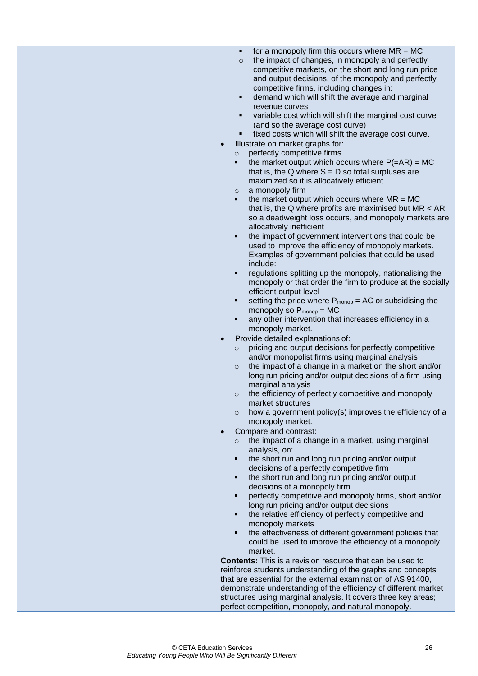- $\blacksquare$  for a monopoly firm this occurs where  $MR = MC$
- o the impact of changes, in monopoly and perfectly competitive markets, on the short and long run price and output decisions, of the monopoly and perfectly competitive firms, including changes in:
- demand which will shift the average and marginal revenue curves
- variable cost which will shift the marginal cost curve (and so the average cost curve)
- fixed costs which will shift the average cost curve.
- Illustrate on market graphs for:
	- o perfectly competitive firms
	- the market output which occurs where  $P(=\overline{AR}) = MC$ that is, the  $Q$  where  $S = D$  so total surpluses are maximized so it is allocatively efficient
	- o a monopoly firm
	- the market output which occurs where  $MR = MC$ that is, the Q where profits are maximised but MR < AR so a deadweight loss occurs, and monopoly markets are allocatively inefficient
	- the impact of government interventions that could be used to improve the efficiency of monopoly markets. Examples of government policies that could be used include:
	- regulations splitting up the monopoly, nationalising the monopoly or that order the firm to produce at the socially efficient output level
	- setting the price where  $P_{mono} = AC$  or subsidising the monopoly so  $P_{mono} = MC$
	- any other intervention that increases efficiency in a monopoly market.
- Provide detailed explanations of:
	- o pricing and output decisions for perfectly competitive and/or monopolist firms using marginal analysis
	- o the impact of a change in a market on the short and/or long run pricing and/or output decisions of a firm using marginal analysis
	- o the efficiency of perfectly competitive and monopoly market structures
	- o how a government policy(s) improves the efficiency of a monopoly market.
- Compare and contrast:
	- o the impact of a change in a market, using marginal analysis, on:
	- the short run and long run pricing and/or output decisions of a perfectly competitive firm
	- the short run and long run pricing and/or output decisions of a monopoly firm
	- perfectly competitive and monopoly firms, short and/or long run pricing and/or output decisions
	- the relative efficiency of perfectly competitive and monopoly markets
	- the effectiveness of different government policies that could be used to improve the efficiency of a monopoly market.

**Contents:** This is a revision resource that can be used to reinforce students understanding of the graphs and concepts that are essential for the external examination of AS 91400, demonstrate understanding of the efficiency of different market structures using marginal analysis. It covers three key areas; perfect competition, monopoly, and natural monopoly.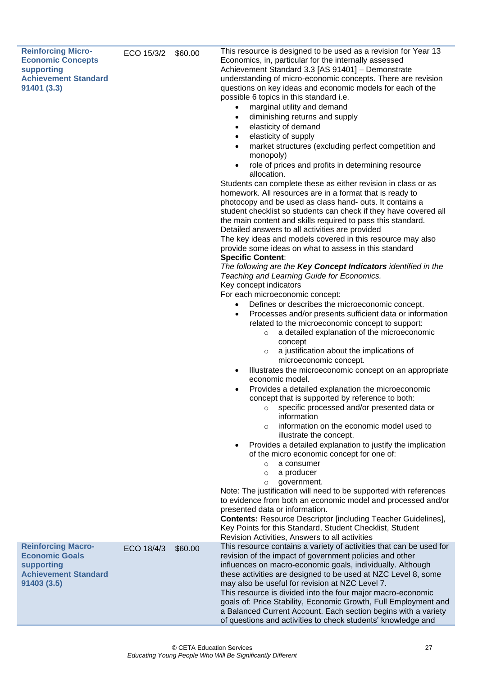| <b>Reinforcing Micro-</b><br><b>Economic Concepts</b><br>supporting<br><b>Achievement Standard</b><br>91401 (3.3)<br><b>Reinforcing Macro-</b> | ECO 15/3/2 | \$60.00 | This resource is designed to be used as a revision for Year 13<br>Economics, in, particular for the internally assessed<br>Achievement Standard 3.3 [AS 91401] - Demonstrate<br>understanding of micro-economic concepts. There are revision<br>questions on key ideas and economic models for each of the<br>possible 6 topics in this standard i.e.<br>marginal utility and demand<br>$\bullet$<br>diminishing returns and supply<br>$\bullet$<br>elasticity of demand<br>$\bullet$<br>elasticity of supply<br>$\bullet$<br>market structures (excluding perfect competition and<br>$\bullet$<br>monopoly)<br>role of prices and profits in determining resource<br>$\bullet$<br>allocation.<br>Students can complete these as either revision in class or as<br>homework. All resources are in a format that is ready to<br>photocopy and be used as class hand- outs. It contains a<br>student checklist so students can check if they have covered all<br>the main content and skills required to pass this standard.<br>Detailed answers to all activities are provided<br>The key ideas and models covered in this resource may also<br>provide some ideas on what to assess in this standard<br><b>Specific Content:</b><br>The following are the Key Concept Indicators identified in the<br>Teaching and Learning Guide for Economics.<br>Key concept indicators<br>For each microeconomic concept:<br>Defines or describes the microeconomic concept.<br>$\bullet$<br>Processes and/or presents sufficient data or information<br>$\bullet$<br>related to the microeconomic concept to support:<br>a detailed explanation of the microeconomic<br>$\circ$<br>concept<br>a justification about the implications of<br>$\circ$<br>microeconomic concept.<br>Illustrates the microeconomic concept on an appropriate<br>$\bullet$<br>economic model.<br>Provides a detailed explanation the microeconomic<br>$\bullet$<br>concept that is supported by reference to both:<br>specific processed and/or presented data or<br>$\circ$<br>information<br>information on the economic model used to<br>$\circ$<br>illustrate the concept.<br>Provides a detailed explanation to justify the implication<br>$\bullet$<br>of the micro economic concept for one of:<br>a consumer<br>$\circ$<br>a producer<br>$\circ$<br>government.<br>$\circ$<br>Note: The justification will need to be supported with references<br>to evidence from both an economic model and processed and/or<br>presented data or information.<br><b>Contents: Resource Descriptor [including Teacher Guidelines],</b><br>Key Points for this Standard, Student Checklist, Student<br>Revision Activities, Answers to all activities<br>This resource contains a variety of activities that can be used for |
|------------------------------------------------------------------------------------------------------------------------------------------------|------------|---------|---------------------------------------------------------------------------------------------------------------------------------------------------------------------------------------------------------------------------------------------------------------------------------------------------------------------------------------------------------------------------------------------------------------------------------------------------------------------------------------------------------------------------------------------------------------------------------------------------------------------------------------------------------------------------------------------------------------------------------------------------------------------------------------------------------------------------------------------------------------------------------------------------------------------------------------------------------------------------------------------------------------------------------------------------------------------------------------------------------------------------------------------------------------------------------------------------------------------------------------------------------------------------------------------------------------------------------------------------------------------------------------------------------------------------------------------------------------------------------------------------------------------------------------------------------------------------------------------------------------------------------------------------------------------------------------------------------------------------------------------------------------------------------------------------------------------------------------------------------------------------------------------------------------------------------------------------------------------------------------------------------------------------------------------------------------------------------------------------------------------------------------------------------------------------------------------------------------------------------------------------------------------------------------------------------------------------------------------------------------------------------------------------------------------------------------------------------------------------------------------------------------------------------------------------------------------------------------------------------------------------------------------------------------------------------------------------------------------------------------------------------------------------------------|
| <b>Economic Goals</b><br>supporting<br><b>Achievement Standard</b><br>91403 (3.5)                                                              | ECO 18/4/3 | \$60.00 | revision of the impact of government policies and other<br>influences on macro-economic goals, individually. Although<br>these activities are designed to be used at NZC Level 8, some<br>may also be useful for revision at NZC Level 7.<br>This resource is divided into the four major macro-economic<br>goals of: Price Stability, Economic Growth, Full Employment and<br>a Balanced Current Account. Each section begins with a variety<br>of questions and activities to check students' knowledge and                                                                                                                                                                                                                                                                                                                                                                                                                                                                                                                                                                                                                                                                                                                                                                                                                                                                                                                                                                                                                                                                                                                                                                                                                                                                                                                                                                                                                                                                                                                                                                                                                                                                                                                                                                                                                                                                                                                                                                                                                                                                                                                                                                                                                                                                         |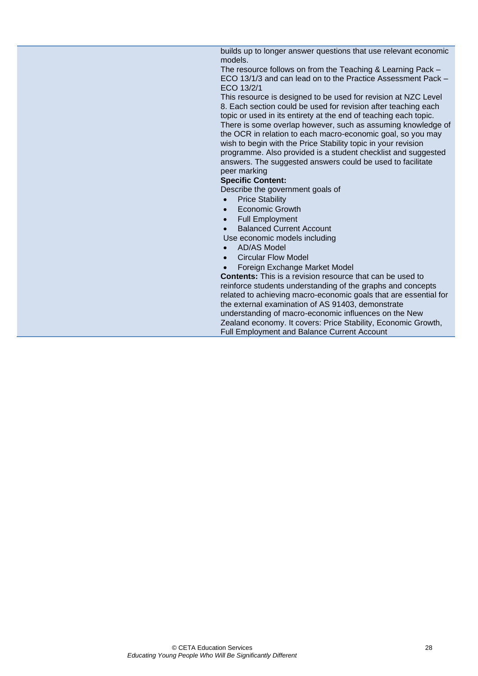builds up to longer answer questions that use relevant economic models.

The resource follows on from the Teaching & Learning Pack – ECO 13/1/3 and can lead on to the Practice Assessment Pack – ECO 13/2/1

This resource is designed to be used for revision at NZC Level 8. Each section could be used for revision after teaching each topic or used in its entirety at the end of teaching each topic. There is some overlap however, such as assuming knowledge of the OCR in relation to each macro-economic goal, so you may wish to begin with the Price Stability topic in your revision programme. Also provided is a student checklist and suggested answers. The suggested answers could be used to facilitate peer marking

#### **Specific Content:**

Describe the government goals of

- **Price Stability**
- **Economic Growth**
- Full Employment
- Balanced Current Account
- Use economic models including
- AD/AS Model
- Circular Flow Model
- Foreign Exchange Market Model

**Contents:** This is a revision resource that can be used to reinforce students understanding of the graphs and concepts related to achieving macro-economic goals that are essential for the external examination of AS 91403, demonstrate understanding of macro-economic influences on the New Zealand economy. It covers: Price Stability, Economic Growth, Full Employment and Balance Current Account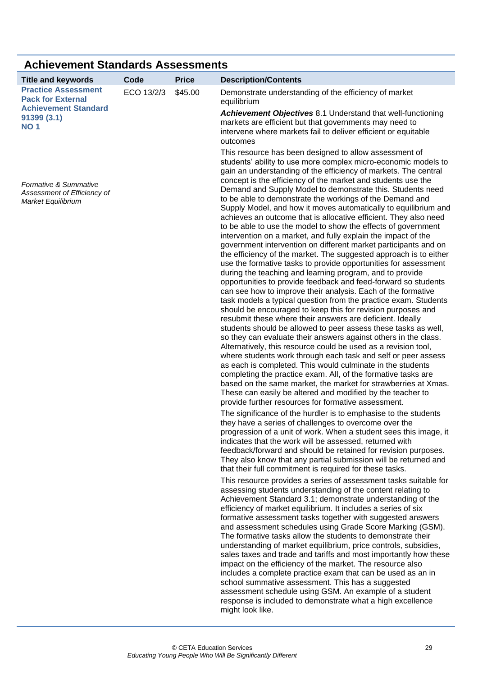<span id="page-32-1"></span><span id="page-32-0"></span>

| <b>Achievement Standards Assessments</b>                                              |            |              |                                                                                                                                                                                                                                                                                                                                                                                                                                                                                                                                                                                                                                                                                                                                                                                                                                                                                                                                                                                                                                                                                                                                                                                                                                                                                                                                                                                                                                                                                                                                                                                                                                                                       |  |
|---------------------------------------------------------------------------------------|------------|--------------|-----------------------------------------------------------------------------------------------------------------------------------------------------------------------------------------------------------------------------------------------------------------------------------------------------------------------------------------------------------------------------------------------------------------------------------------------------------------------------------------------------------------------------------------------------------------------------------------------------------------------------------------------------------------------------------------------------------------------------------------------------------------------------------------------------------------------------------------------------------------------------------------------------------------------------------------------------------------------------------------------------------------------------------------------------------------------------------------------------------------------------------------------------------------------------------------------------------------------------------------------------------------------------------------------------------------------------------------------------------------------------------------------------------------------------------------------------------------------------------------------------------------------------------------------------------------------------------------------------------------------------------------------------------------------|--|
| <b>Title and keywords</b>                                                             | Code       | <b>Price</b> | <b>Description/Contents</b>                                                                                                                                                                                                                                                                                                                                                                                                                                                                                                                                                                                                                                                                                                                                                                                                                                                                                                                                                                                                                                                                                                                                                                                                                                                                                                                                                                                                                                                                                                                                                                                                                                           |  |
| <b>Practice Assessment</b><br><b>Pack for External</b><br><b>Achievement Standard</b> | ECO 13/2/3 | \$45.00      | Demonstrate understanding of the efficiency of market<br>equilibrium                                                                                                                                                                                                                                                                                                                                                                                                                                                                                                                                                                                                                                                                                                                                                                                                                                                                                                                                                                                                                                                                                                                                                                                                                                                                                                                                                                                                                                                                                                                                                                                                  |  |
| 91399(3.1)<br><b>NO 1</b>                                                             |            |              | <b>Achievement Objectives 8.1 Understand that well-functioning</b><br>markets are efficient but that governments may need to<br>intervene where markets fail to deliver efficient or equitable<br>outcomes                                                                                                                                                                                                                                                                                                                                                                                                                                                                                                                                                                                                                                                                                                                                                                                                                                                                                                                                                                                                                                                                                                                                                                                                                                                                                                                                                                                                                                                            |  |
|                                                                                       |            |              | This resource has been designed to allow assessment of<br>students' ability to use more complex micro-economic models to<br>gain an understanding of the efficiency of markets. The central                                                                                                                                                                                                                                                                                                                                                                                                                                                                                                                                                                                                                                                                                                                                                                                                                                                                                                                                                                                                                                                                                                                                                                                                                                                                                                                                                                                                                                                                           |  |
| Formative & Summative<br>Assessment of Efficiency of<br>Market Equilibrium            |            |              | concept is the efficiency of the market and students use the<br>Demand and Supply Model to demonstrate this. Students need<br>to be able to demonstrate the workings of the Demand and<br>Supply Model, and how it moves automatically to equilibrium and<br>achieves an outcome that is allocative efficient. They also need<br>to be able to use the model to show the effects of government<br>intervention on a market, and fully explain the impact of the<br>government intervention on different market participants and on<br>the efficiency of the market. The suggested approach is to either<br>use the formative tasks to provide opportunities for assessment<br>during the teaching and learning program, and to provide<br>opportunities to provide feedback and feed-forward so students<br>can see how to improve their analysis. Each of the formative<br>task models a typical question from the practice exam. Students<br>should be encouraged to keep this for revision purposes and<br>resubmit these where their answers are deficient. Ideally<br>students should be allowed to peer assess these tasks as well,<br>so they can evaluate their answers against others in the class.<br>Alternatively, this resource could be used as a revision tool,<br>where students work through each task and self or peer assess<br>as each is completed. This would culminate in the students<br>completing the practice exam. All, of the formative tasks are<br>based on the same market, the market for strawberries at Xmas.<br>These can easily be altered and modified by the teacher to<br>provide further resources for formative assessment. |  |
|                                                                                       |            |              | The significance of the hurdler is to emphasise to the students<br>they have a series of challenges to overcome over the                                                                                                                                                                                                                                                                                                                                                                                                                                                                                                                                                                                                                                                                                                                                                                                                                                                                                                                                                                                                                                                                                                                                                                                                                                                                                                                                                                                                                                                                                                                                              |  |
|                                                                                       |            |              | progression of a unit of work. When a student sees this image, it<br>indicates that the work will be assessed, returned with<br>feedback/forward and should be retained for revision purposes.<br>They also know that any partial submission will be returned and<br>that their full commitment is required for these tasks.                                                                                                                                                                                                                                                                                                                                                                                                                                                                                                                                                                                                                                                                                                                                                                                                                                                                                                                                                                                                                                                                                                                                                                                                                                                                                                                                          |  |
|                                                                                       |            |              | This resource provides a series of assessment tasks suitable for<br>assessing students understanding of the content relating to<br>Achievement Standard 3.1; demonstrate understanding of the<br>efficiency of market equilibrium. It includes a series of six<br>formative assessment tasks together with suggested answers<br>and assessment schedules using Grade Score Marking (GSM).<br>The formative tasks allow the students to demonstrate their<br>understanding of market equilibrium, price controls, subsidies,<br>sales taxes and trade and tariffs and most importantly how these<br>impact on the efficiency of the market. The resource also<br>includes a complete practice exam that can be used as an in<br>school summative assessment. This has a suggested<br>assessment schedule using GSM. An example of a student<br>response is included to demonstrate what a high excellence<br>might look like.                                                                                                                                                                                                                                                                                                                                                                                                                                                                                                                                                                                                                                                                                                                                          |  |

© CETA Education Services 29 *Educating Young People Who Will Be Significantly Different*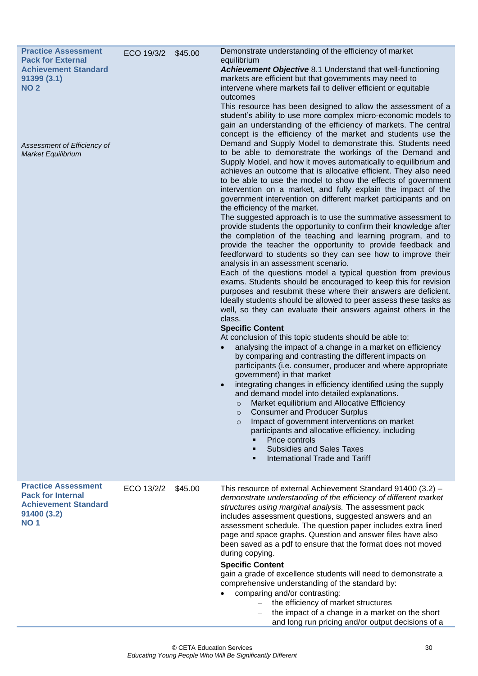<span id="page-33-0"></span>

| <b>Practice Assessment</b><br><b>Pack for External</b><br><b>Achievement Standard</b><br>91399(3.1)<br><b>NO2</b><br>Assessment of Efficiency of<br>Market Equilibrium | ECO 19/3/2 \$45.00 |         | Demonstrate understanding of the efficiency of market<br>equilibrium<br>Achievement Objective 8.1 Understand that well-functioning<br>markets are efficient but that governments may need to<br>intervene where markets fail to deliver efficient or equitable<br>outcomes<br>This resource has been designed to allow the assessment of a<br>student's ability to use more complex micro-economic models to<br>gain an understanding of the efficiency of markets. The central<br>concept is the efficiency of the market and students use the<br>Demand and Supply Model to demonstrate this. Students need<br>to be able to demonstrate the workings of the Demand and<br>Supply Model, and how it moves automatically to equilibrium and<br>achieves an outcome that is allocative efficient. They also need<br>to be able to use the model to show the effects of government<br>intervention on a market, and fully explain the impact of the<br>government intervention on different market participants and on<br>the efficiency of the market.<br>The suggested approach is to use the summative assessment to<br>provide students the opportunity to confirm their knowledge after<br>the completion of the teaching and learning program, and to<br>provide the teacher the opportunity to provide feedback and<br>feedforward to students so they can see how to improve their<br>analysis in an assessment scenario.<br>Each of the questions model a typical question from previous<br>exams. Students should be encouraged to keep this for revision<br>purposes and resubmit these where their answers are deficient.<br>Ideally students should be allowed to peer assess these tasks as<br>well, so they can evaluate their answers against others in the<br>class.<br><b>Specific Content</b><br>At conclusion of this topic students should be able to:<br>analysing the impact of a change in a market on efficiency<br>by comparing and contrasting the different impacts on<br>participants (i.e. consumer, producer and where appropriate<br>government) in that market<br>integrating changes in efficiency identified using the supply<br>and demand model into detailed explanations.<br>Market equilibrium and Allocative Efficiency<br><b>Consumer and Producer Surplus</b><br>$\circ$<br>Impact of government interventions on market<br>$\circ$<br>participants and allocative efficiency, including<br>Price controls<br><b>Subsidies and Sales Taxes</b><br>International Trade and Tariff |
|------------------------------------------------------------------------------------------------------------------------------------------------------------------------|--------------------|---------|----------------------------------------------------------------------------------------------------------------------------------------------------------------------------------------------------------------------------------------------------------------------------------------------------------------------------------------------------------------------------------------------------------------------------------------------------------------------------------------------------------------------------------------------------------------------------------------------------------------------------------------------------------------------------------------------------------------------------------------------------------------------------------------------------------------------------------------------------------------------------------------------------------------------------------------------------------------------------------------------------------------------------------------------------------------------------------------------------------------------------------------------------------------------------------------------------------------------------------------------------------------------------------------------------------------------------------------------------------------------------------------------------------------------------------------------------------------------------------------------------------------------------------------------------------------------------------------------------------------------------------------------------------------------------------------------------------------------------------------------------------------------------------------------------------------------------------------------------------------------------------------------------------------------------------------------------------------------------------------------------------------------------------------------------------------------------------------------------------------------------------------------------------------------------------------------------------------------------------------------------------------------------------------------------------------------------------------------------------------------------------------------------------------------------------------------------------------------------------------------------------------------------|
| <b>Practice Assessment</b><br><b>Pack for Internal</b><br><b>Achievement Standard</b><br>91400 (3.2)<br><b>NO1</b>                                                     | ECO 13/2/2         | \$45.00 | This resource of external Achievement Standard 91400 (3.2) -<br>demonstrate understanding of the efficiency of different market<br>structures using marginal analysis. The assessment pack<br>includes assessment questions, suggested answers and an<br>assessment schedule. The question paper includes extra lined<br>page and space graphs. Question and answer files have also<br>been saved as a pdf to ensure that the format does not moved<br>during copying.<br><b>Specific Content</b><br>gain a grade of excellence students will need to demonstrate a<br>comprehensive understanding of the standard by:<br>comparing and/or contrasting:<br>the efficiency of market structures<br>the impact of a change in a market on the short<br>and long run pricing and/or output decisions of a                                                                                                                                                                                                                                                                                                                                                                                                                                                                                                                                                                                                                                                                                                                                                                                                                                                                                                                                                                                                                                                                                                                                                                                                                                                                                                                                                                                                                                                                                                                                                                                                                                                                                                                     |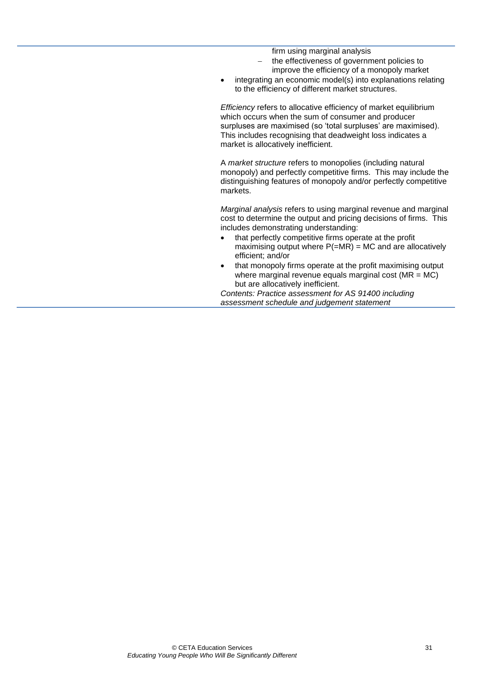firm using marginal analysis

- the effectiveness of government policies to improve the efficiency of a monopoly market
- integrating an economic model(s) into explanations relating to the efficiency of different market structures.

*Efficiency* refers to allocative efficiency of market equilibrium which occurs when the sum of consumer and producer surpluses are maximised (so 'total surpluses' are maximised). This includes recognising that deadweight loss indicates a market is allocatively inefficient.

A *market structure* refers to monopolies (including natural monopoly) and perfectly competitive firms. This may include the distinguishing features of monopoly and/or perfectly competitive markets.

*Marginal analysis* refers to using marginal revenue and marginal cost to determine the output and pricing decisions of firms. This includes demonstrating understanding:

- that perfectly competitive firms operate at the profit maximising output where  $P(=\text{MR}) = \text{MC}$  and are allocatively efficient; and/or
- that monopoly firms operate at the profit maximising output where marginal revenue equals marginal cost ( $MR = MC$ ) but are allocatively inefficient.

*Contents: Practice assessment for AS 91400 including assessment schedule and judgement statement*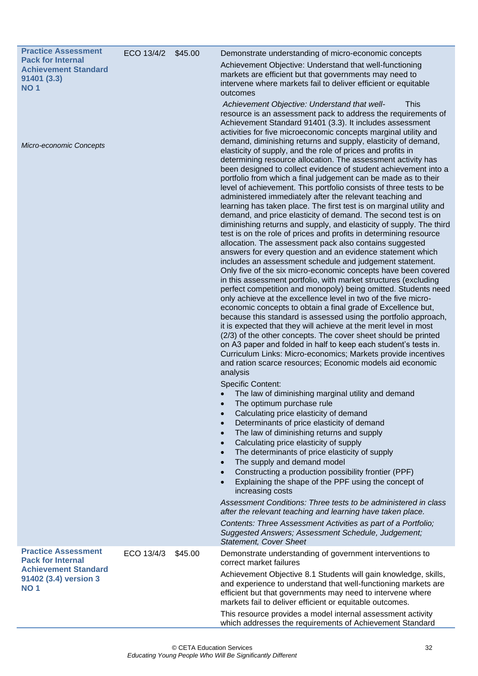<span id="page-35-0"></span>

| <b>Practice Assessment</b><br><b>Pack for Internal</b><br><b>Achievement Standard</b><br>91401 (3.3)<br><b>NO1</b><br><b>Micro-economic Concepts</b> | ECO 13/4/2 | \$45.00 | Demonstrate understanding of micro-economic concepts<br>Achievement Objective: Understand that well-functioning<br>markets are efficient but that governments may need to<br>intervene where markets fail to deliver efficient or equitable<br>outcomes<br>Achievement Objective: Understand that well-<br><b>This</b><br>resource is an assessment pack to address the requirements of<br>Achievement Standard 91401 (3.3). It includes assessment<br>activities for five microeconomic concepts marginal utility and<br>demand, diminishing returns and supply, elasticity of demand,<br>elasticity of supply, and the role of prices and profits in<br>determining resource allocation. The assessment activity has<br>been designed to collect evidence of student achievement into a<br>portfolio from which a final judgement can be made as to their<br>level of achievement. This portfolio consists of three tests to be<br>administered immediately after the relevant teaching and<br>learning has taken place. The first test is on marginal utility and<br>demand, and price elasticity of demand. The second test is on<br>diminishing returns and supply, and elasticity of supply. The third<br>test is on the role of prices and profits in determining resource<br>allocation. The assessment pack also contains suggested<br>answers for every question and an evidence statement which<br>includes an assessment schedule and judgement statement.<br>Only five of the six micro-economic concepts have been covered<br>in this assessment portfolio, with market structures (excluding<br>perfect competition and monopoly) being omitted. Students need<br>only achieve at the excellence level in two of the five micro-<br>economic concepts to obtain a final grade of Excellence but, |
|------------------------------------------------------------------------------------------------------------------------------------------------------|------------|---------|-----------------------------------------------------------------------------------------------------------------------------------------------------------------------------------------------------------------------------------------------------------------------------------------------------------------------------------------------------------------------------------------------------------------------------------------------------------------------------------------------------------------------------------------------------------------------------------------------------------------------------------------------------------------------------------------------------------------------------------------------------------------------------------------------------------------------------------------------------------------------------------------------------------------------------------------------------------------------------------------------------------------------------------------------------------------------------------------------------------------------------------------------------------------------------------------------------------------------------------------------------------------------------------------------------------------------------------------------------------------------------------------------------------------------------------------------------------------------------------------------------------------------------------------------------------------------------------------------------------------------------------------------------------------------------------------------------------------------------------------------------------------------------------------------------------------|
|                                                                                                                                                      |            |         | because this standard is assessed using the portfolio approach,<br>it is expected that they will achieve at the merit level in most<br>(2/3) of the other concepts. The cover sheet should be printed<br>on A3 paper and folded in half to keep each student's tests in.<br>Curriculum Links: Micro-economics; Markets provide incentives<br>and ration scarce resources; Economic models aid economic<br>analysis                                                                                                                                                                                                                                                                                                                                                                                                                                                                                                                                                                                                                                                                                                                                                                                                                                                                                                                                                                                                                                                                                                                                                                                                                                                                                                                                                                                              |
|                                                                                                                                                      |            |         | <b>Specific Content:</b><br>The law of diminishing marginal utility and demand<br>The optimum purchase rule<br>Calculating price elasticity of demand<br>$\bullet$<br>Determinants of price elasticity of demand<br>$\bullet$<br>The law of diminishing returns and supply<br>$\bullet$<br>Calculating price elasticity of supply<br>$\bullet$<br>The determinants of price elasticity of supply<br>$\bullet$<br>The supply and demand model<br>$\bullet$<br>Constructing a production possibility frontier (PPF)<br>$\bullet$<br>Explaining the shape of the PPF using the concept of<br>$\bullet$<br>increasing costs                                                                                                                                                                                                                                                                                                                                                                                                                                                                                                                                                                                                                                                                                                                                                                                                                                                                                                                                                                                                                                                                                                                                                                                         |
|                                                                                                                                                      |            |         | Assessment Conditions: Three tests to be administered in class<br>after the relevant teaching and learning have taken place.<br>Contents: Three Assessment Activities as part of a Portfolio;<br>Suggested Answers; Assessment Schedule, Judgement;<br><b>Statement, Cover Sheet</b>                                                                                                                                                                                                                                                                                                                                                                                                                                                                                                                                                                                                                                                                                                                                                                                                                                                                                                                                                                                                                                                                                                                                                                                                                                                                                                                                                                                                                                                                                                                            |
| <b>Practice Assessment</b><br><b>Pack for Internal</b><br><b>Achievement Standard</b><br>91402 (3.4) version 3<br><b>NO1</b>                         | ECO 13/4/3 | \$45.00 | Demonstrate understanding of government interventions to<br>correct market failures<br>Achievement Objective 8.1 Students will gain knowledge, skills,<br>and experience to understand that well-functioning markets are<br>efficient but that governments may need to intervene where<br>markets fail to deliver efficient or equitable outcomes.<br>This resource provides a model internal assessment activity<br>which addresses the requirements of Achievement Standard                                                                                                                                                                                                                                                                                                                                                                                                                                                                                                                                                                                                                                                                                                                                                                                                                                                                                                                                                                                                                                                                                                                                                                                                                                                                                                                                   |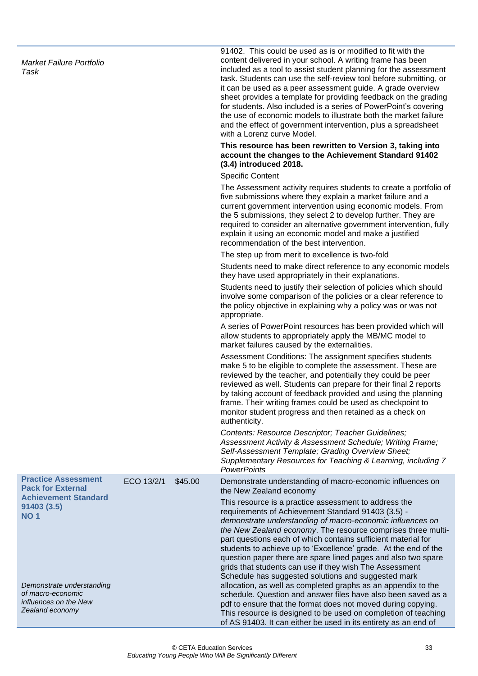*Market Failure Portfolio Task*

91402. This could be used as is or modified to fit with the content delivered in your school. A writing frame has been included as a tool to assist student planning for the assessment task. Students can use the self-review tool before submitting, or it can be used as a peer assessment guide. A grade overview sheet provides a template for providing feedback on the grading for students. Also included is a series of PowerPoint's covering the use of economic models to illustrate both the market failure and the effect of government intervention, plus a spreadsheet with a Lorenz curve Model.

#### **This resource has been rewritten to Version 3, taking into account the changes to the Achievement Standard 91402 (3.4) introduced 2018.**

of AS 91403. It can either be used in its entirety as an end of

Specific Content

|                                                                                            |            |         | The Assessment activity requires students to create a portfolio of<br>five submissions where they explain a market failure and a<br>current government intervention using economic models. From<br>the 5 submissions, they select 2 to develop further. They are<br>required to consider an alternative government intervention, fully<br>explain it using an economic model and make a justified<br>recommendation of the best intervention.                                                                                                                   |
|--------------------------------------------------------------------------------------------|------------|---------|-----------------------------------------------------------------------------------------------------------------------------------------------------------------------------------------------------------------------------------------------------------------------------------------------------------------------------------------------------------------------------------------------------------------------------------------------------------------------------------------------------------------------------------------------------------------|
|                                                                                            |            |         | The step up from merit to excellence is two-fold                                                                                                                                                                                                                                                                                                                                                                                                                                                                                                                |
|                                                                                            |            |         | Students need to make direct reference to any economic models<br>they have used appropriately in their explanations.                                                                                                                                                                                                                                                                                                                                                                                                                                            |
|                                                                                            |            |         | Students need to justify their selection of policies which should<br>involve some comparison of the policies or a clear reference to<br>the policy objective in explaining why a policy was or was not<br>appropriate.                                                                                                                                                                                                                                                                                                                                          |
|                                                                                            |            |         | A series of PowerPoint resources has been provided which will<br>allow students to appropriately apply the MB/MC model to<br>market failures caused by the externalities.                                                                                                                                                                                                                                                                                                                                                                                       |
|                                                                                            |            |         | Assessment Conditions: The assignment specifies students<br>make 5 to be eligible to complete the assessment. These are<br>reviewed by the teacher, and potentially they could be peer<br>reviewed as well. Students can prepare for their final 2 reports<br>by taking account of feedback provided and using the planning<br>frame. Their writing frames could be used as checkpoint to<br>monitor student progress and then retained as a check on<br>authenticity.                                                                                          |
|                                                                                            |            |         | Contents: Resource Descriptor; Teacher Guidelines;<br>Assessment Activity & Assessment Schedule; Writing Frame;<br>Self-Assessment Template; Grading Overview Sheet;<br>Supplementary Resources for Teaching & Learning, including 7<br><b>PowerPoints</b>                                                                                                                                                                                                                                                                                                      |
| <b>Practice Assessment</b><br><b>Pack for External</b>                                     | ECO 13/2/1 | \$45.00 | Demonstrate understanding of macro-economic influences on<br>the New Zealand economy                                                                                                                                                                                                                                                                                                                                                                                                                                                                            |
| <b>Achievement Standard</b><br>91403 (3.5)<br><b>NO 1</b>                                  |            |         | This resource is a practice assessment to address the<br>requirements of Achievement Standard 91403 (3.5) -<br>demonstrate understanding of macro-economic influences on<br>the New Zealand economy. The resource comprises three multi-<br>part questions each of which contains sufficient material for<br>students to achieve up to 'Excellence' grade. At the end of the<br>question paper there are spare lined pages and also two spare<br>grids that students can use if they wish The Assessment<br>Schedule has suggested solutions and suggested mark |
| Demonstrate understanding<br>of macro-economic<br>influences on the New<br>Zealand economy |            |         | allocation, as well as completed graphs as an appendix to the<br>schedule. Question and answer files have also been saved as a<br>pdf to ensure that the format does not moved during copying.<br>This resource is designed to be used on completion of teaching                                                                                                                                                                                                                                                                                                |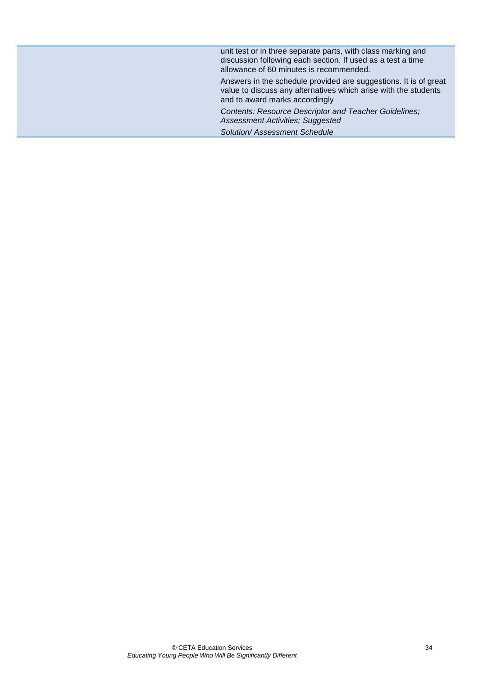| unit test or in three separate parts, with class marking and<br>discussion following each section. If used as a test a time<br>allowance of 60 minutes is recommended. |
|------------------------------------------------------------------------------------------------------------------------------------------------------------------------|
| Answers in the schedule provided are suggestions. It is of great<br>value to discuss any alternatives which arise with the students<br>and to award marks accordingly  |
| Contents: Resource Descriptor and Teacher Guidelines;<br><b>Assessment Activities; Suggested</b>                                                                       |
| <b>Solution/Assessment Schedule</b>                                                                                                                                    |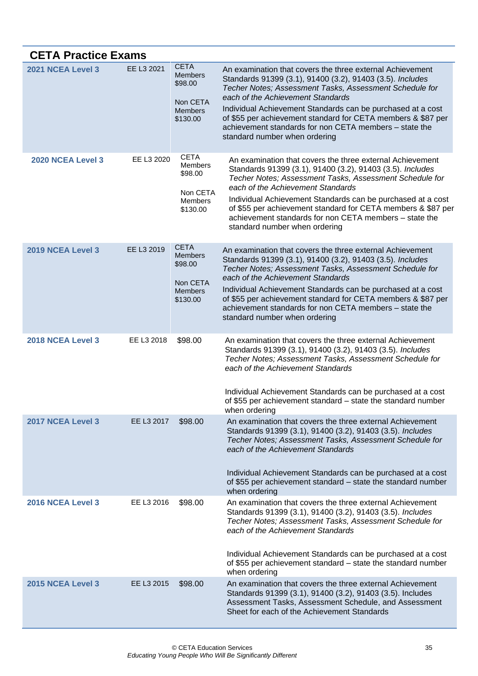<span id="page-38-3"></span><span id="page-38-2"></span><span id="page-38-1"></span><span id="page-38-0"></span>

| <b>CETA Practice Exams</b> |            |                                                                                    |                                                                                                                                                                                                                                                                                                                                                       |
|----------------------------|------------|------------------------------------------------------------------------------------|-------------------------------------------------------------------------------------------------------------------------------------------------------------------------------------------------------------------------------------------------------------------------------------------------------------------------------------------------------|
| 2021 NCEA Level 3          | EE L3 2021 | <b>CETA</b><br><b>Members</b><br>\$98.00<br>Non CETA                               | An examination that covers the three external Achievement<br>Standards 91399 (3.1), 91400 (3.2), 91403 (3.5). Includes<br>Techer Notes; Assessment Tasks, Assessment Schedule for<br>each of the Achievement Standards                                                                                                                                |
|                            |            | <b>Members</b><br>\$130.00                                                         | Individual Achievement Standards can be purchased at a cost<br>of \$55 per achievement standard for CETA members & \$87 per<br>achievement standards for non CETA members - state the<br>standard number when ordering                                                                                                                                |
| 2020 NCEA Level 3          | EE L3 2020 | <b>CETA</b><br><b>Members</b><br>\$98.00<br>Non CETA<br><b>Members</b><br>\$130.00 | An examination that covers the three external Achievement<br>Standards 91399 (3.1), 91400 (3.2), 91403 (3.5). Includes<br>Techer Notes; Assessment Tasks, Assessment Schedule for<br>each of the Achievement Standards<br>Individual Achievement Standards can be purchased at a cost<br>of \$55 per achievement standard for CETA members & \$87 per |
|                            |            |                                                                                    | achievement standards for non CETA members - state the<br>standard number when ordering                                                                                                                                                                                                                                                               |
| 2019 NCEA Level 3          | EE L3 2019 | <b>CETA</b><br><b>Members</b><br>\$98.00<br>Non CETA                               | An examination that covers the three external Achievement<br>Standards 91399 (3.1), 91400 (3.2), 91403 (3.5). Includes<br>Techer Notes; Assessment Tasks, Assessment Schedule for<br>each of the Achievement Standards                                                                                                                                |
|                            |            | <b>Members</b><br>\$130.00                                                         | Individual Achievement Standards can be purchased at a cost<br>of \$55 per achievement standard for CETA members & \$87 per<br>achievement standards for non CETA members – state the<br>standard number when ordering                                                                                                                                |
| 2018 NCEA Level 3          | EE L3 2018 | \$98.00                                                                            | An examination that covers the three external Achievement<br>Standards 91399 (3.1), 91400 (3.2), 91403 (3.5). Includes<br>Techer Notes; Assessment Tasks, Assessment Schedule for<br>each of the Achievement Standards                                                                                                                                |
|                            |            |                                                                                    | Individual Achievement Standards can be purchased at a cost<br>of \$55 per achievement standard – state the standard number<br>when ordering                                                                                                                                                                                                          |
| 2017 NCEA Level 3          | EE L3 2017 | \$98.00                                                                            | An examination that covers the three external Achievement<br>Standards 91399 (3.1), 91400 (3.2), 91403 (3.5). Includes<br>Techer Notes; Assessment Tasks, Assessment Schedule for<br>each of the Achievement Standards                                                                                                                                |
|                            |            |                                                                                    | Individual Achievement Standards can be purchased at a cost<br>of \$55 per achievement standard – state the standard number<br>when ordering                                                                                                                                                                                                          |
| 2016 NCEA Level 3          | EE L3 2016 | \$98.00                                                                            | An examination that covers the three external Achievement<br>Standards 91399 (3.1), 91400 (3.2), 91403 (3.5). Includes<br>Techer Notes; Assessment Tasks, Assessment Schedule for<br>each of the Achievement Standards                                                                                                                                |
|                            |            |                                                                                    | Individual Achievement Standards can be purchased at a cost<br>of \$55 per achievement standard – state the standard number<br>when ordering                                                                                                                                                                                                          |
| 2015 NCEA Level 3          | EE L3 2015 | \$98.00                                                                            | An examination that covers the three external Achievement<br>Standards 91399 (3.1), 91400 (3.2), 91403 (3.5). Includes<br>Assessment Tasks, Assessment Schedule, and Assessment<br>Sheet for each of the Achievement Standards                                                                                                                        |